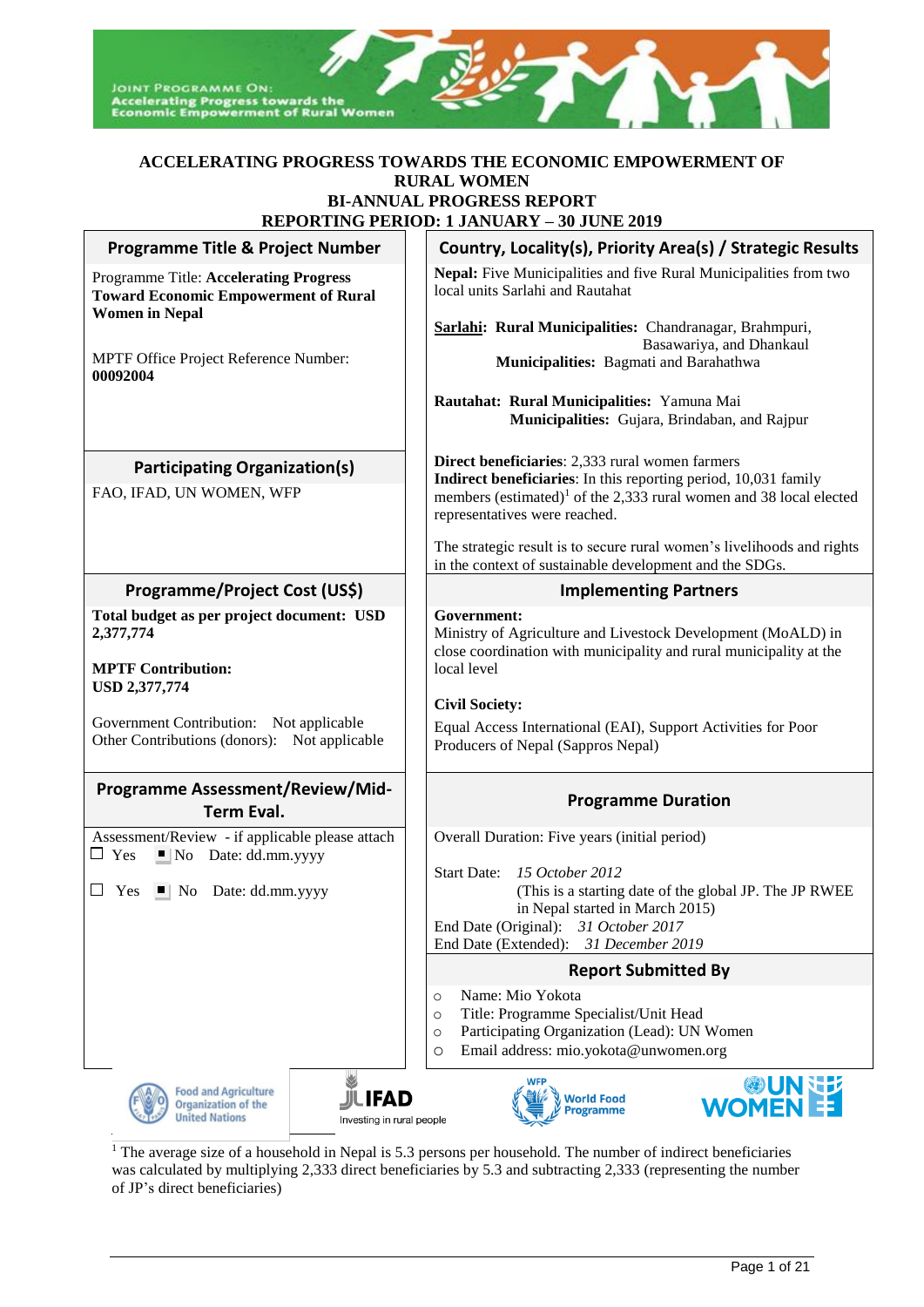

#### **ACCELERATING PROGRESS TOWARDS THE ECONOMIC EMPOWERMENT OF RURAL WOMEN BI-ANNUAL PROGRESS REPORT REPORTING PERIOD: 1 JANUARY – 30 JUNE 2019**

|                                                                                                                            | <u> KEFUKTING FEKIUD: 1 JANUAK 1 – 30 JUNE 2019</u>                                                                                                                                |
|----------------------------------------------------------------------------------------------------------------------------|------------------------------------------------------------------------------------------------------------------------------------------------------------------------------------|
| <b>Programme Title &amp; Project Number</b>                                                                                | Country, Locality(s), Priority Area(s) / Strategic Results                                                                                                                         |
| <b>Programme Title: Accelerating Progress</b><br><b>Toward Economic Empowerment of Rural</b><br><b>Women in Nepal</b>      | Nepal: Five Municipalities and five Rural Municipalities from two<br>local units Sarlahi and Rautahat                                                                              |
|                                                                                                                            | Sarlahi: Rural Municipalities: Chandranagar, Brahmpuri,<br>Basawariya, and Dhankaul                                                                                                |
| MPTF Office Project Reference Number:<br>00092004                                                                          | Municipalities: Bagmati and Barahathwa                                                                                                                                             |
|                                                                                                                            | Rautahat: Rural Municipalities: Yamuna Mai<br>Municipalities: Gujara, Brindaban, and Rajpur                                                                                        |
| <b>Participating Organization(s)</b>                                                                                       | Direct beneficiaries: 2,333 rural women farmers                                                                                                                                    |
| FAO, IFAD, UN WOMEN, WFP                                                                                                   | Indirect beneficiaries: In this reporting period, 10,031 family<br>members (estimated) <sup>1</sup> of the 2,333 rural women and 38 local elected<br>representatives were reached. |
|                                                                                                                            | The strategic result is to secure rural women's livelihoods and rights<br>in the context of sustainable development and the SDGs.                                                  |
| Programme/Project Cost (US\$)                                                                                              | <b>Implementing Partners</b>                                                                                                                                                       |
| Total budget as per project document: USD<br>2,377,774                                                                     | Government:<br>Ministry of Agriculture and Livestock Development (MoALD) in<br>close coordination with municipality and rural municipality at the                                  |
| <b>MPTF Contribution:</b><br>USD 2,377,774                                                                                 | local level                                                                                                                                                                        |
|                                                                                                                            | <b>Civil Society:</b>                                                                                                                                                              |
| Government Contribution: Not applicable<br>Other Contributions (donors): Not applicable                                    | Equal Access International (EAI), Support Activities for Poor<br>Producers of Nepal (Sappros Nepal)                                                                                |
| <b>Programme Assessment/Review/Mid-</b>                                                                                    | <b>Programme Duration</b>                                                                                                                                                          |
| <b>Term Eval.</b>                                                                                                          |                                                                                                                                                                                    |
| Assessment/Review - if applicable please attach<br>$\Box$ Yes<br>$\blacksquare$ No Date: dd.mm.yyyy                        | Overall Duration: Five years (initial period)                                                                                                                                      |
|                                                                                                                            | 15 October 2012<br><b>Start Date:</b>                                                                                                                                              |
| $\Box$<br>Yes $\blacksquare$ No Date: dd.mm.yyyy                                                                           | (This is a starting date of the global JP. The JP RWEE<br>in Nepal started in March 2015)                                                                                          |
|                                                                                                                            | End Date (Original):<br>31 October 2017                                                                                                                                            |
|                                                                                                                            | 31 December 2019<br>End Date (Extended):                                                                                                                                           |
|                                                                                                                            | <b>Report Submitted By</b>                                                                                                                                                         |
|                                                                                                                            | Name: Mio Yokota<br>$\circ$                                                                                                                                                        |
|                                                                                                                            | Title: Programme Specialist/Unit Head<br>$\circ$<br>Participating Organization (Lead): UN Women<br>$\circ$                                                                         |
|                                                                                                                            | Email address: mio.yokota@unwomen.org<br>$\circ$                                                                                                                                   |
| <b>Food and Agriculture</b><br><b>JILIFAD</b><br>Organization of the<br><b>United Nations</b><br>Investing in rural people | WOMEN ES<br><b>World Food</b><br><b>Programme</b>                                                                                                                                  |

<sup>1</sup> The average size of a household in Nepal is 5.3 persons per household. The number of indirect beneficiaries was calculated by multiplying 2,333 direct beneficiaries by 5.3 and subtracting 2,333 (representing the number of JP's direct beneficiaries)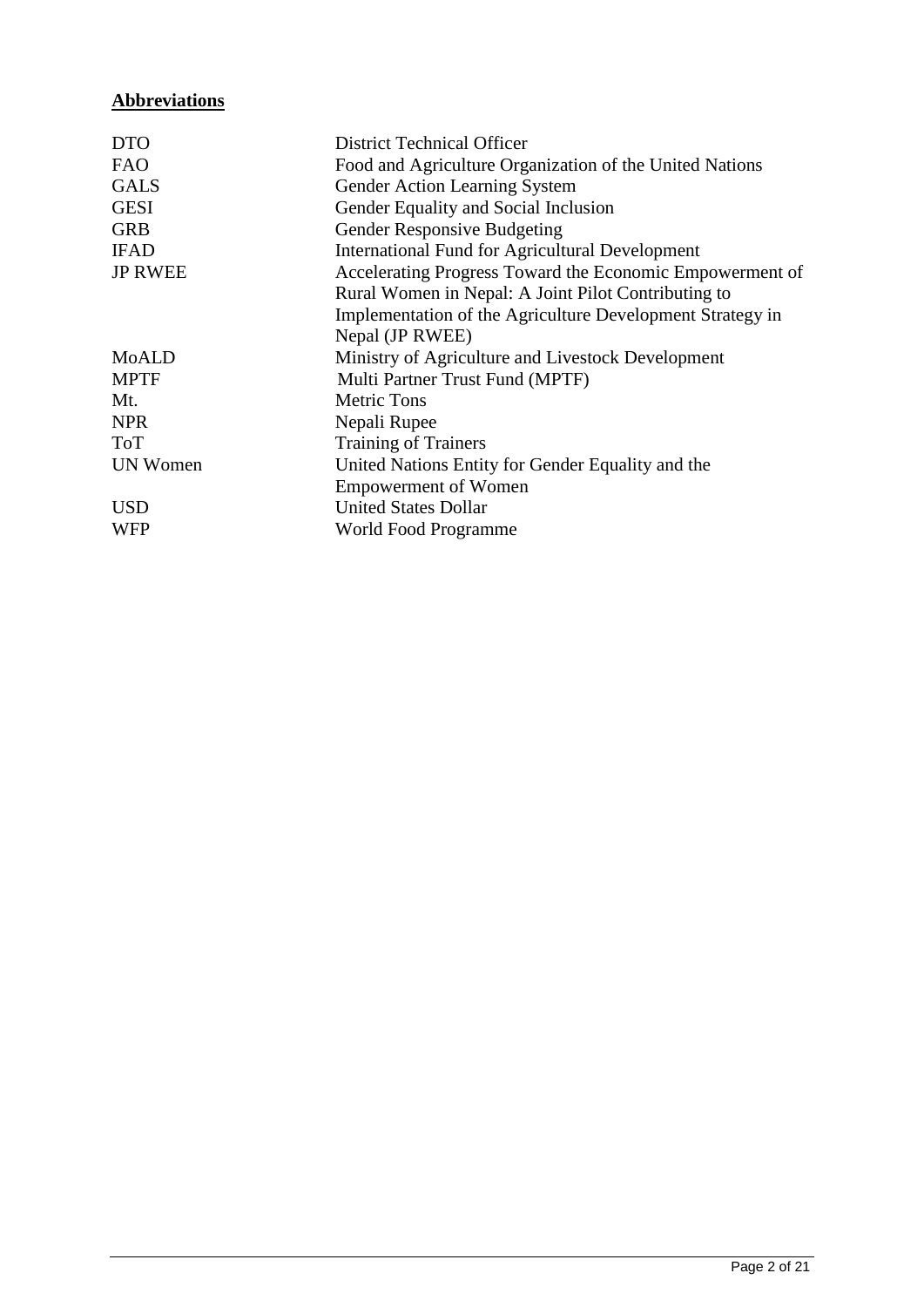# **Abbreviations**

| <b>DTO</b>      | <b>District Technical Officer</b>                         |
|-----------------|-----------------------------------------------------------|
| <b>FAO</b>      | Food and Agriculture Organization of the United Nations   |
| <b>GALS</b>     | Gender Action Learning System                             |
| <b>GESI</b>     | Gender Equality and Social Inclusion                      |
| <b>GRB</b>      | Gender Responsive Budgeting                               |
| <b>IFAD</b>     | <b>International Fund for Agricultural Development</b>    |
| <b>JP RWEE</b>  | Accelerating Progress Toward the Economic Empowerment of  |
|                 | Rural Women in Nepal: A Joint Pilot Contributing to       |
|                 | Implementation of the Agriculture Development Strategy in |
|                 | Nepal (JP RWEE)                                           |
| MoALD           | Ministry of Agriculture and Livestock Development         |
| <b>MPTF</b>     | Multi Partner Trust Fund (MPTF)                           |
| Mt.             | <b>Metric Tons</b>                                        |
| <b>NPR</b>      | Nepali Rupee                                              |
| <b>ToT</b>      | <b>Training of Trainers</b>                               |
| <b>UN Women</b> | United Nations Entity for Gender Equality and the         |
|                 | <b>Empowerment of Women</b>                               |
| <b>USD</b>      | <b>United States Dollar</b>                               |
| <b>WFP</b>      | World Food Programme                                      |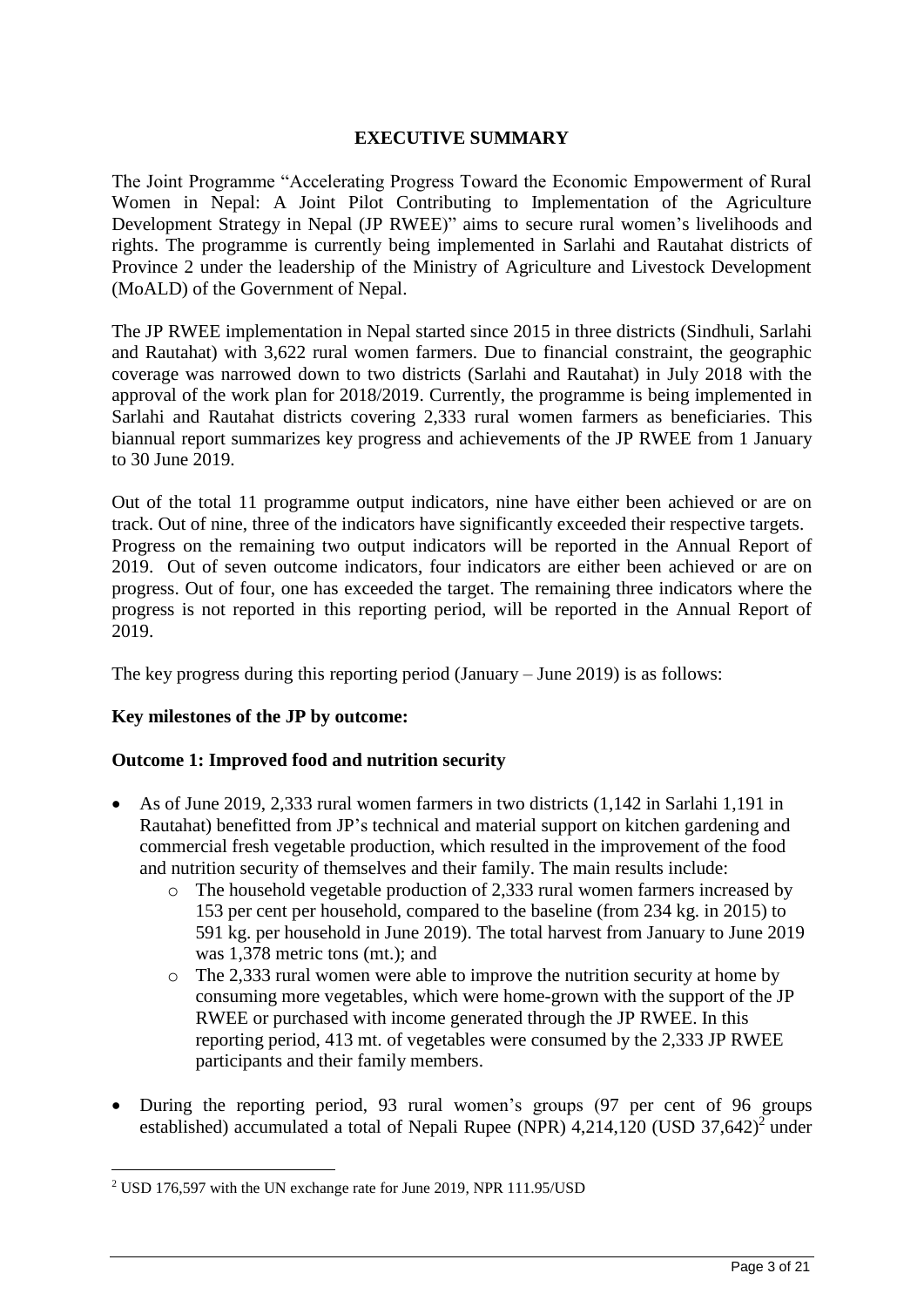## **EXECUTIVE SUMMARY**

The Joint Programme "Accelerating Progress Toward the Economic Empowerment of Rural Women in Nepal: A Joint Pilot Contributing to Implementation of the Agriculture Development Strategy in Nepal (JP RWEE)" aims to secure rural women's livelihoods and rights. The programme is currently being implemented in Sarlahi and Rautahat districts of Province 2 under the leadership of the Ministry of Agriculture and Livestock Development (MoALD) of the Government of Nepal.

The JP RWEE implementation in Nepal started since 2015 in three districts (Sindhuli, Sarlahi and Rautahat) with 3,622 rural women farmers. Due to financial constraint, the geographic coverage was narrowed down to two districts (Sarlahi and Rautahat) in July 2018 with the approval of the work plan for 2018/2019. Currently, the programme is being implemented in Sarlahi and Rautahat districts covering 2,333 rural women farmers as beneficiaries. This biannual report summarizes key progress and achievements of the JP RWEE from 1 January to 30 June 2019.

Out of the total 11 programme output indicators, nine have either been achieved or are on track. Out of nine, three of the indicators have significantly exceeded their respective targets. Progress on the remaining two output indicators will be reported in the Annual Report of 2019. Out of seven outcome indicators, four indicators are either been achieved or are on progress. Out of four, one has exceeded the target. The remaining three indicators where the progress is not reported in this reporting period, will be reported in the Annual Report of 2019.

The key progress during this reporting period (January – June 2019) is as follows:

### **Key milestones of the JP by outcome:**

<u>.</u>

### **Outcome 1: Improved food and nutrition security**

- As of June 2019, 2,333 rural women farmers in two districts (1,142 in Sarlahi 1,191 in Rautahat) benefitted from JP's technical and material support on kitchen gardening and commercial fresh vegetable production, which resulted in the improvement of the food and nutrition security of themselves and their family. The main results include:
	- o The household vegetable production of 2,333 rural women farmers increased by 153 per cent per household, compared to the baseline (from 234 kg. in 2015) to 591 kg. per household in June 2019). The total harvest from January to June 2019 was 1,378 metric tons (mt.); and
	- o The 2,333 rural women were able to improve the nutrition security at home by consuming more vegetables, which were home-grown with the support of the JP RWEE or purchased with income generated through the JP RWEE. In this reporting period, 413 mt. of vegetables were consumed by the 2,333 JP RWEE participants and their family members.
- During the reporting period, 93 rural women's groups (97 per cent of 96 groups) established) accumulated a total of Nepali Rupee (NPR)  $4,214,120$  (USD  $37,642$ )<sup>2</sup> under

<sup>2</sup> USD 176,597 with the UN exchange rate for June 2019, NPR 111.95/USD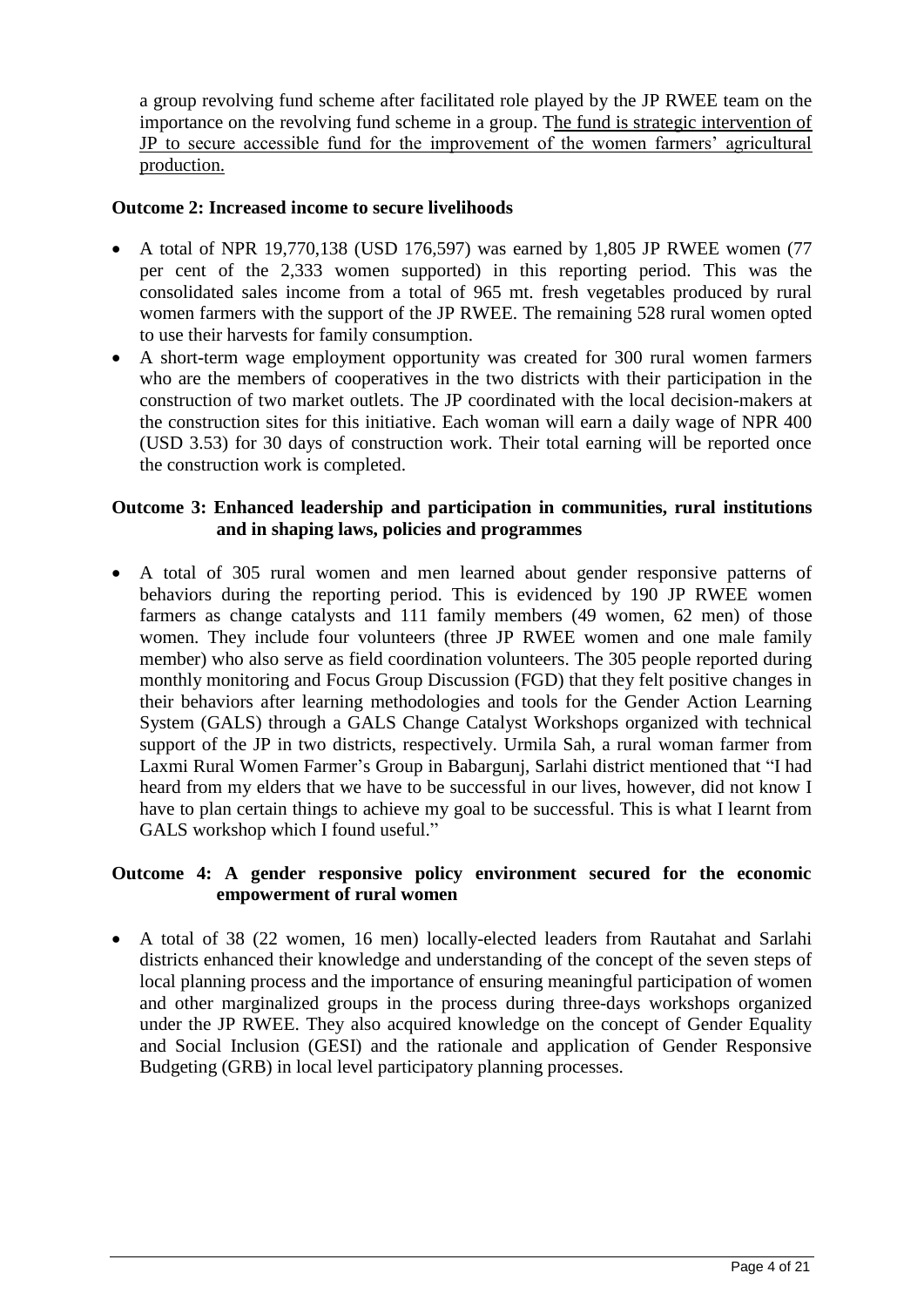a group revolving fund scheme after facilitated role played by the JP RWEE team on the importance on the revolving fund scheme in a group. The fund is strategic intervention of JP to secure accessible fund for the improvement of the women farmers' agricultural production.

### **Outcome 2: Increased income to secure livelihoods**

- A total of NPR 19,770,138 (USD 176,597) was earned by 1,805 JP RWEE women  $(77$ per cent of the 2,333 women supported) in this reporting period. This was the consolidated sales income from a total of 965 mt. fresh vegetables produced by rural women farmers with the support of the JP RWEE. The remaining 528 rural women opted to use their harvests for family consumption.
- A short-term wage employment opportunity was created for 300 rural women farmers who are the members of cooperatives in the two districts with their participation in the construction of two market outlets. The JP coordinated with the local decision-makers at the construction sites for this initiative. Each woman will earn a daily wage of NPR 400 (USD 3.53) for 30 days of construction work. Their total earning will be reported once the construction work is completed.

### **Outcome 3: Enhanced leadership and participation in communities, rural institutions and in shaping laws, policies and programmes**

• A total of 305 rural women and men learned about gender responsive patterns of behaviors during the reporting period. This is evidenced by 190 JP RWEE women farmers as change catalysts and 111 family members (49 women, 62 men) of those women. They include four volunteers (three JP RWEE women and one male family member) who also serve as field coordination volunteers. The 305 people reported during monthly monitoring and Focus Group Discussion (FGD) that they felt positive changes in their behaviors after learning methodologies and tools for the Gender Action Learning System (GALS) through a GALS Change Catalyst Workshops organized with technical support of the JP in two districts, respectively. Urmila Sah, a rural woman farmer from Laxmi Rural Women Farmer's Group in Babargunj, Sarlahi district mentioned that "I had heard from my elders that we have to be successful in our lives, however, did not know I have to plan certain things to achieve my goal to be successful. This is what I learnt from GALS workshop which I found useful."

#### **Outcome 4: A gender responsive policy environment secured for the economic empowerment of rural women**

• A total of 38 (22 women, 16 men) locally-elected leaders from Rautahat and Sarlahi districts enhanced their knowledge and understanding of the concept of the seven steps of local planning process and the importance of ensuring meaningful participation of women and other marginalized groups in the process during three-days workshops organized under the JP RWEE. They also acquired knowledge on the concept of Gender Equality and Social Inclusion (GESI) and the rationale and application of Gender Responsive Budgeting (GRB) in local level participatory planning processes.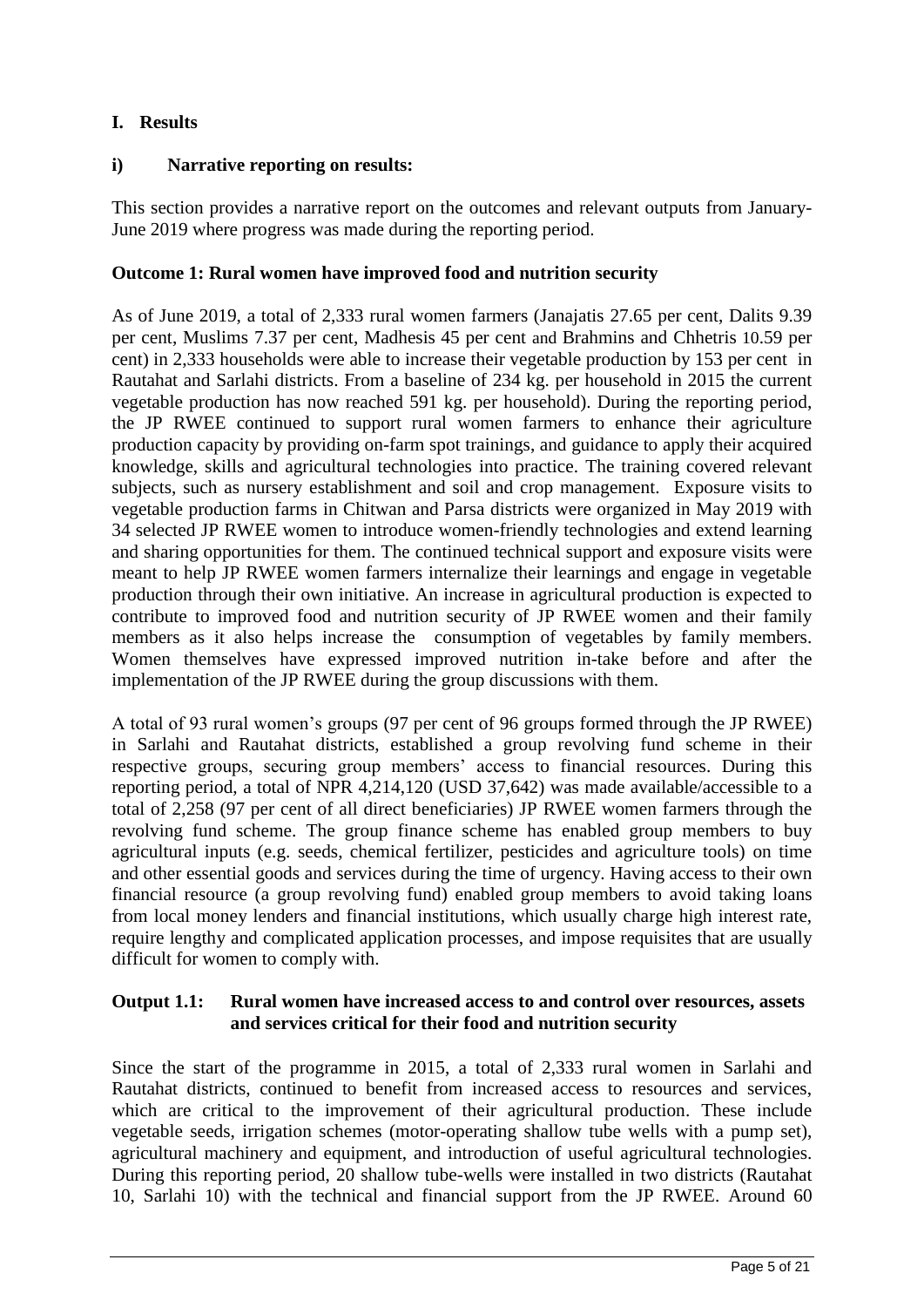## **I. Results**

### **i) Narrative reporting on results:**

This section provides a narrative report on the outcomes and relevant outputs from January-June 2019 where progress was made during the reporting period.

### **Outcome 1: Rural women have improved food and nutrition security**

As of June 2019, a total of 2,333 rural women farmers (Janajatis 27.65 per cent, Dalits 9.39 per cent, Muslims 7.37 per cent, Madhesis 45 per cent and Brahmins and Chhetris 10.59 per cent) in 2,333 households were able to increase their vegetable production by 153 per cent in Rautahat and Sarlahi districts. From a baseline of 234 kg. per household in 2015 the current vegetable production has now reached 591 kg. per household). During the reporting period, the JP RWEE continued to support rural women farmers to enhance their agriculture production capacity by providing on-farm spot trainings, and guidance to apply their acquired knowledge, skills and agricultural technologies into practice. The training covered relevant subjects, such as nursery establishment and soil and crop management. Exposure visits to vegetable production farms in Chitwan and Parsa districts were organized in May 2019 with 34 selected JP RWEE women to introduce women-friendly technologies and extend learning and sharing opportunities for them. The continued technical support and exposure visits were meant to help JP RWEE women farmers internalize their learnings and engage in vegetable production through their own initiative. An increase in agricultural production is expected to contribute to improved food and nutrition security of JP RWEE women and their family members as it also helps increase the consumption of vegetables by family members. Women themselves have expressed improved nutrition in-take before and after the implementation of the JP RWEE during the group discussions with them.

A total of 93 rural women's groups (97 per cent of 96 groups formed through the JP RWEE) in Sarlahi and Rautahat districts, established a group revolving fund scheme in their respective groups, securing group members' access to financial resources. During this reporting period, a total of NPR 4,214,120 (USD 37,642) was made available/accessible to a total of 2,258 (97 per cent of all direct beneficiaries) JP RWEE women farmers through the revolving fund scheme. The group finance scheme has enabled group members to buy agricultural inputs (e.g. seeds, chemical fertilizer, pesticides and agriculture tools) on time and other essential goods and services during the time of urgency. Having access to their own financial resource (a group revolving fund) enabled group members to avoid taking loans from local money lenders and financial institutions, which usually charge high interest rate, require lengthy and complicated application processes, and impose requisites that are usually difficult for women to comply with.

#### **Output 1.1: Rural women have increased access to and control over resources, assets and services critical for their food and nutrition security**

Since the start of the programme in 2015, a total of 2,333 rural women in Sarlahi and Rautahat districts, continued to benefit from increased access to resources and services, which are critical to the improvement of their agricultural production. These include vegetable seeds, irrigation schemes (motor-operating shallow tube wells with a pump set), agricultural machinery and equipment, and introduction of useful agricultural technologies. During this reporting period, 20 shallow tube-wells were installed in two districts (Rautahat 10, Sarlahi 10) with the technical and financial support from the JP RWEE. Around 60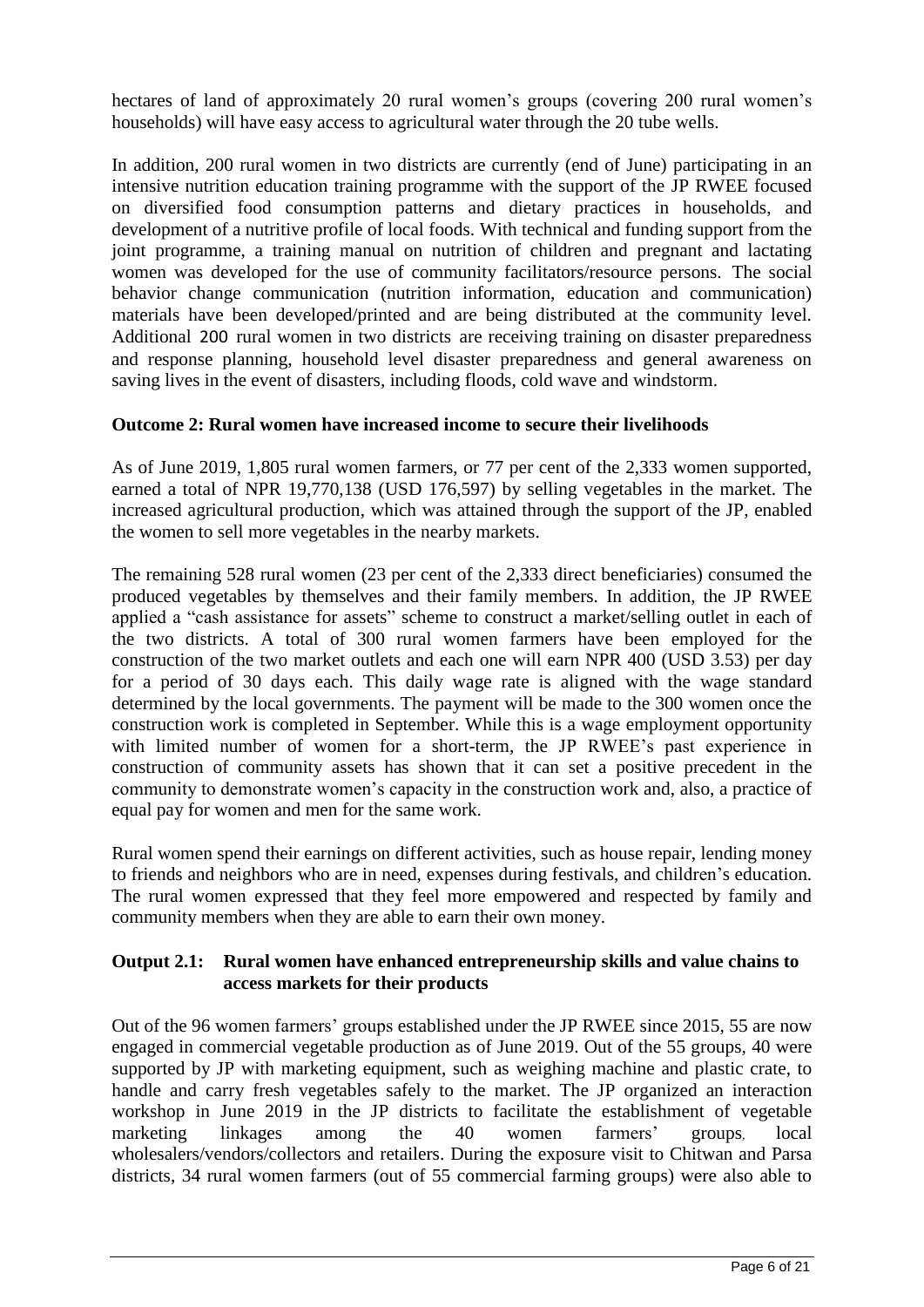hectares of land of approximately 20 rural women's groups (covering 200 rural women's households) will have easy access to agricultural water through the 20 tube wells.

In addition, 200 rural women in two districts are currently (end of June) participating in an intensive nutrition education training programme with the support of the JP RWEE focused on diversified food consumption patterns and dietary practices in households, and development of a nutritive profile of local foods. With technical and funding support from the joint programme, a training manual on nutrition of children and pregnant and lactating women was developed for the use of community facilitators/resource persons. The social behavior change communication (nutrition information, education and communication) materials have been developed/printed and are being distributed at the community level. Additional 200 rural women in two districts are receiving training on disaster preparedness and response planning, household level disaster preparedness and general awareness on saving lives in the event of disasters, including floods, cold wave and windstorm.

#### **Outcome 2: Rural women have increased income to secure their livelihoods**

As of June 2019, 1,805 rural women farmers, or 77 per cent of the 2,333 women supported, earned a total of NPR 19,770,138 (USD 176,597) by selling vegetables in the market. The increased agricultural production, which was attained through the support of the JP, enabled the women to sell more vegetables in the nearby markets.

The remaining 528 rural women (23 per cent of the 2,333 direct beneficiaries) consumed the produced vegetables by themselves and their family members. In addition, the JP RWEE applied a "cash assistance for assets" scheme to construct a market/selling outlet in each of the two districts. A total of 300 rural women farmers have been employed for the construction of the two market outlets and each one will earn NPR 400 (USD 3.53) per day for a period of 30 days each. This daily wage rate is aligned with the wage standard determined by the local governments. The payment will be made to the 300 women once the construction work is completed in September. While this is a wage employment opportunity with limited number of women for a short-term, the JP RWEE's past experience in construction of community assets has shown that it can set a positive precedent in the community to demonstrate women's capacity in the construction work and, also, a practice of equal pay for women and men for the same work.

Rural women spend their earnings on different activities, such as house repair, lending money to friends and neighbors who are in need, expenses during festivals, and children's education. The rural women expressed that they feel more empowered and respected by family and community members when they are able to earn their own money.

#### **Output 2.1: Rural women have enhanced entrepreneurship skills and value chains to access markets for their products**

Out of the 96 women farmers' groups established under the JP RWEE since 2015, 55 are now engaged in commercial vegetable production as of June 2019. Out of the 55 groups, 40 were supported by JP with marketing equipment, such as weighing machine and plastic crate, to handle and carry fresh vegetables safely to the market. The JP organized an interaction workshop in June 2019 in the JP districts to facilitate the establishment of vegetable marketing linkages among the 40 women farmers' groups, local wholesalers/vendors/collectors and retailers. During the exposure visit to Chitwan and Parsa districts, 34 rural women farmers (out of 55 commercial farming groups) were also able to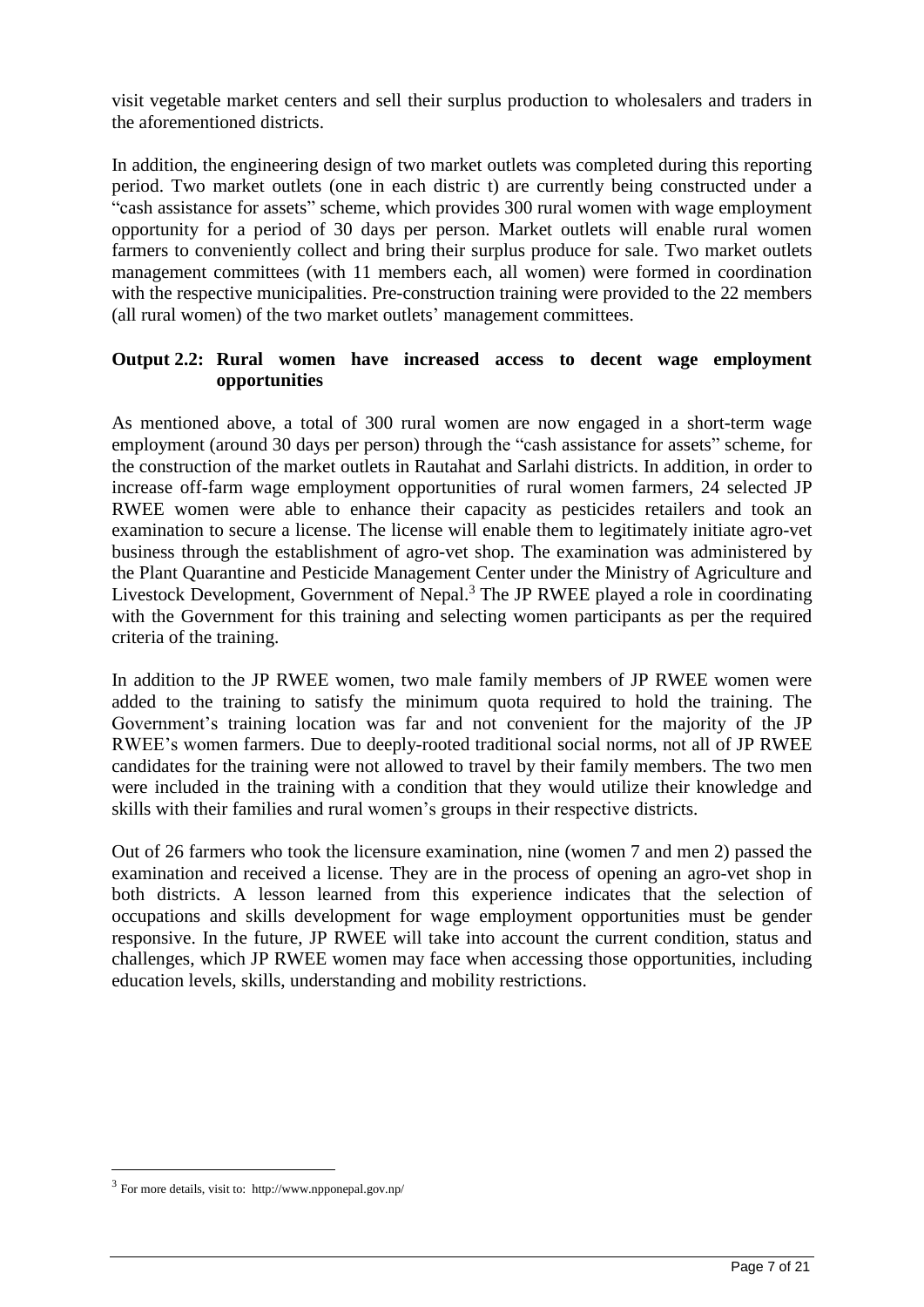visit vegetable market centers and sell their surplus production to wholesalers and traders in the aforementioned districts.

In addition, the engineering design of two market outlets was completed during this reporting period. Two market outlets (one in each distric t) are currently being constructed under a "cash assistance for assets" scheme, which provides 300 rural women with wage employment opportunity for a period of 30 days per person. Market outlets will enable rural women farmers to conveniently collect and bring their surplus produce for sale. Two market outlets management committees (with 11 members each, all women) were formed in coordination with the respective municipalities. Pre-construction training were provided to the 22 members (all rural women) of the two market outlets' management committees.

### **Output 2.2: Rural women have increased access to decent wage employment opportunities**

As mentioned above, a total of 300 rural women are now engaged in a short-term wage employment (around 30 days per person) through the "cash assistance for assets" scheme, for the construction of the market outlets in Rautahat and Sarlahi districts. In addition, in order to increase off-farm wage employment opportunities of rural women farmers, 24 selected JP RWEE women were able to enhance their capacity as pesticides retailers and took an examination to secure a license. The license will enable them to legitimately initiate agro-vet business through the establishment of agro-vet shop. The examination was administered by the Plant Quarantine and Pesticide Management Center under the Ministry of Agriculture and Livestock Development, Government of Nepal.<sup>3</sup> The JP RWEE played a role in coordinating with the Government for this training and selecting women participants as per the required criteria of the training.

In addition to the JP RWEE women, two male family members of JP RWEE women were added to the training to satisfy the minimum quota required to hold the training. The Government's training location was far and not convenient for the majority of the JP RWEE's women farmers. Due to deeply-rooted traditional social norms, not all of JP RWEE candidates for the training were not allowed to travel by their family members. The two men were included in the training with a condition that they would utilize their knowledge and skills with their families and rural women's groups in their respective districts.

Out of 26 farmers who took the licensure examination, nine (women 7 and men 2) passed the examination and received a license. They are in the process of opening an agro-vet shop in both districts. A lesson learned from this experience indicates that the selection of occupations and skills development for wage employment opportunities must be gender responsive. In the future, JP RWEE will take into account the current condition, status and challenges, which JP RWEE women may face when accessing those opportunities, including education levels, skills, understanding and mobility restrictions.

<u>.</u>

<sup>3</sup> For more details, visit to: http://www.npponepal.gov.np/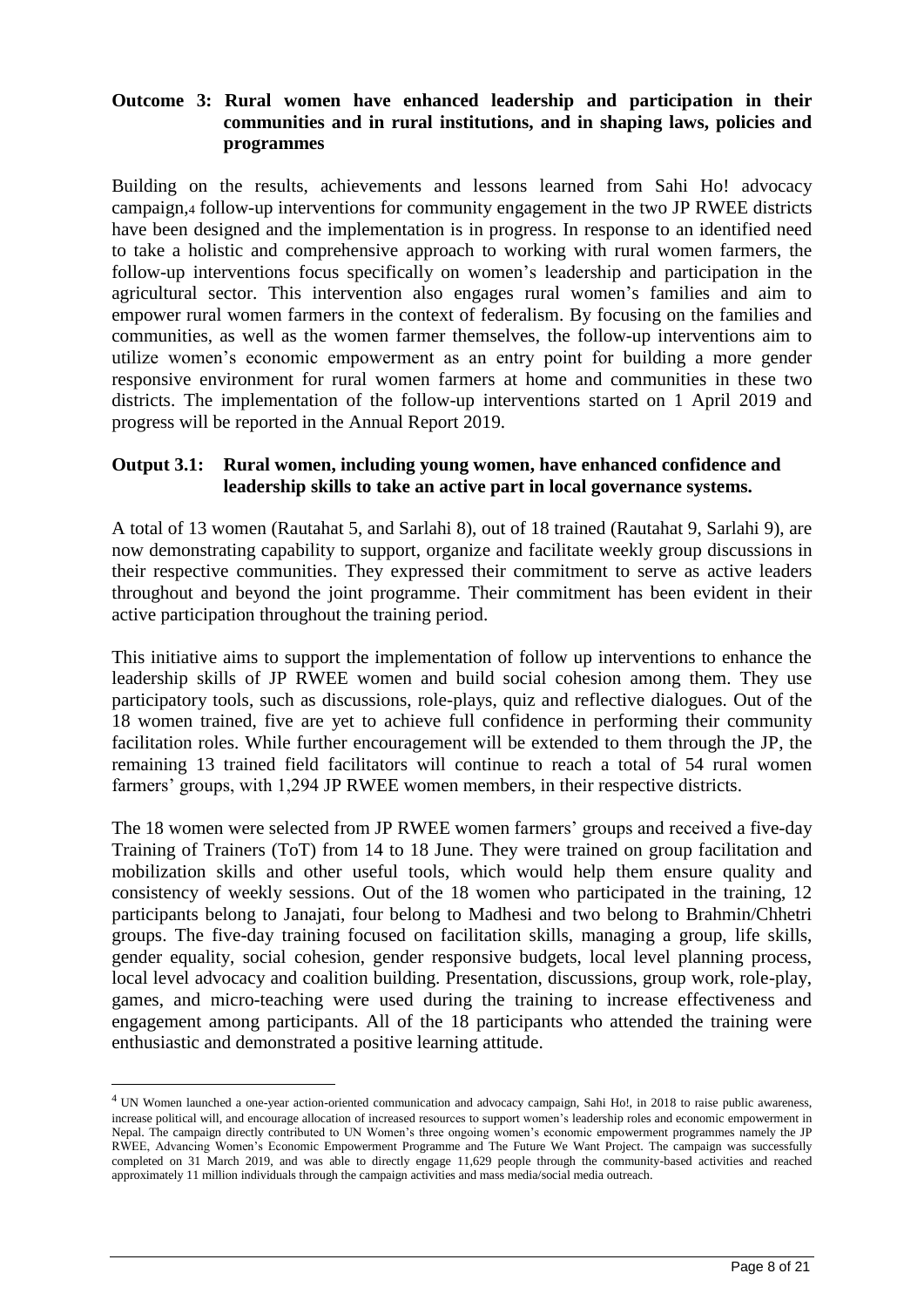#### **Outcome 3: Rural women have enhanced leadership and participation in their communities and in rural institutions, and in shaping laws, policies and programmes**

Building on the results, achievements and lessons learned from Sahi Ho! advocacy campaign,<sup>4</sup> follow-up interventions for community engagement in the two JP RWEE districts have been designed and the implementation is in progress. In response to an identified need to take a holistic and comprehensive approach to working with rural women farmers, the follow-up interventions focus specifically on women's leadership and participation in the agricultural sector. This intervention also engages rural women's families and aim to empower rural women farmers in the context of federalism. By focusing on the families and communities, as well as the women farmer themselves, the follow-up interventions aim to utilize women's economic empowerment as an entry point for building a more gender responsive environment for rural women farmers at home and communities in these two districts. The implementation of the follow-up interventions started on 1 April 2019 and progress will be reported in the Annual Report 2019.

#### **Output 3.1: Rural women, including young women, have enhanced confidence and leadership skills to take an active part in local governance systems.**

A total of 13 women (Rautahat 5, and Sarlahi 8), out of 18 trained (Rautahat 9, Sarlahi 9), are now demonstrating capability to support, organize and facilitate weekly group discussions in their respective communities. They expressed their commitment to serve as active leaders throughout and beyond the joint programme. Their commitment has been evident in their active participation throughout the training period.

This initiative aims to support the implementation of follow up interventions to enhance the leadership skills of JP RWEE women and build social cohesion among them. They use participatory tools, such as discussions, role-plays, quiz and reflective dialogues. Out of the 18 women trained, five are yet to achieve full confidence in performing their community facilitation roles. While further encouragement will be extended to them through the JP, the remaining 13 trained field facilitators will continue to reach a total of 54 rural women farmers' groups, with 1,294 JP RWEE women members, in their respective districts.

The 18 women were selected from JP RWEE women farmers' groups and received a five-day Training of Trainers (ToT) from 14 to 18 June. They were trained on group facilitation and mobilization skills and other useful tools, which would help them ensure quality and consistency of weekly sessions. Out of the 18 women who participated in the training, 12 participants belong to Janajati, four belong to Madhesi and two belong to Brahmin/Chhetri groups. The five-day training focused on facilitation skills, managing a group, life skills, gender equality, social cohesion, gender responsive budgets, local level planning process, local level advocacy and coalition building. Presentation, discussions, group work, role-play, games, and micro-teaching were used during the training to increase effectiveness and engagement among participants. All of the 18 participants who attended the training were enthusiastic and demonstrated a positive learning attitude.

<u>.</u>

<sup>&</sup>lt;sup>4</sup> UN Women launched a one-year action-oriented communication and advocacy campaign, Sahi Ho!, in 2018 to raise public awareness, increase political will, and encourage allocation of increased resources to support women's leadership roles and economic empowerment in Nepal. The campaign directly contributed to UN Women's three ongoing women's economic empowerment programmes namely the JP RWEE, Advancing Women's Economic Empowerment Programme and The Future We Want Project. The campaign was successfully completed on 31 March 2019, and was able to directly engage 11,629 people through the community-based activities and reached approximately 11 million individuals through the campaign activities and mass media/social media outreach.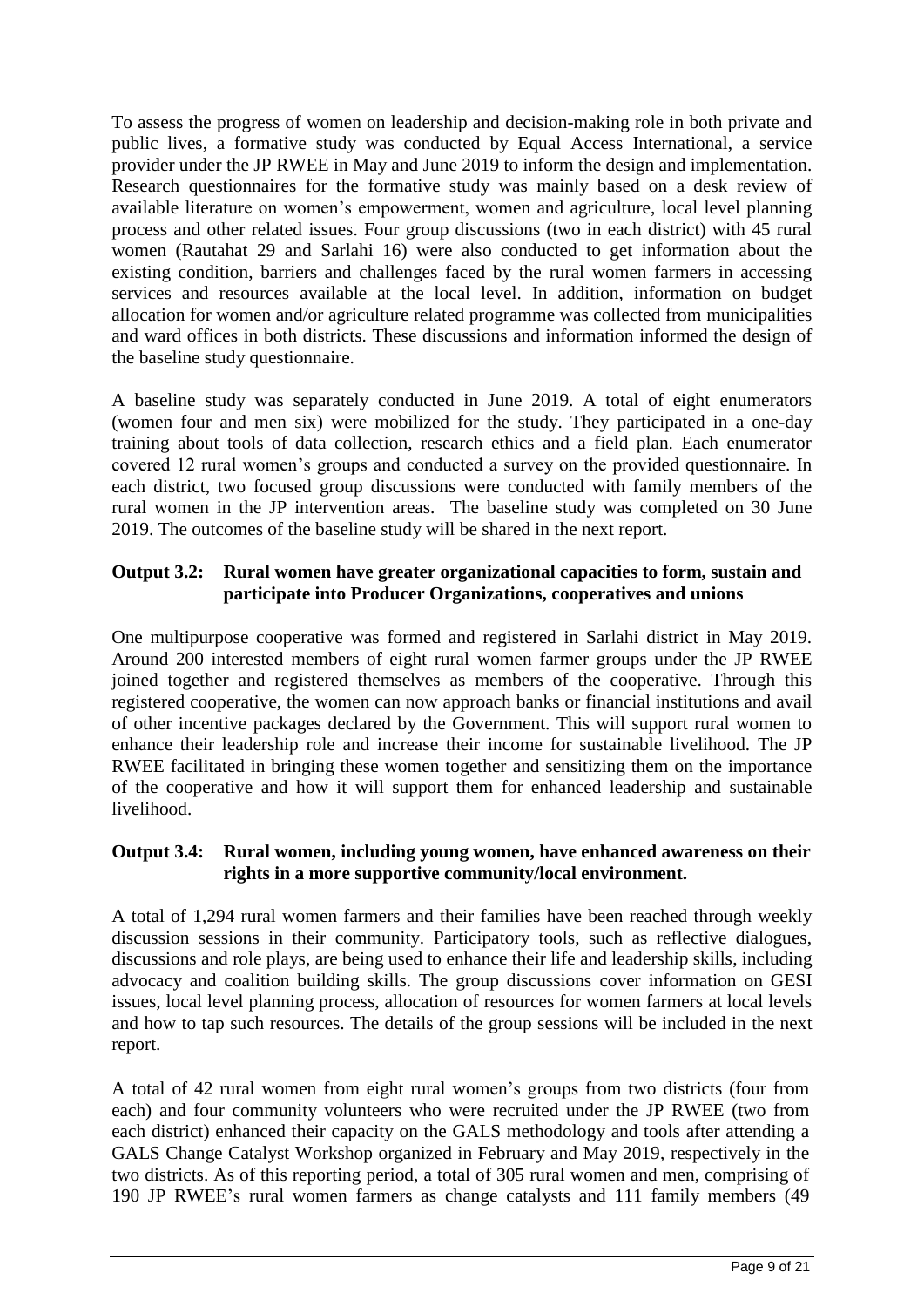To assess the progress of women on leadership and decision-making role in both private and public lives, a formative study was conducted by Equal Access International, a service provider under the JP RWEE in May and June 2019 to inform the design and implementation. Research questionnaires for the formative study was mainly based on a desk review of available literature on women's empowerment, women and agriculture, local level planning process and other related issues. Four group discussions (two in each district) with 45 rural women (Rautahat 29 and Sarlahi 16) were also conducted to get information about the existing condition, barriers and challenges faced by the rural women farmers in accessing services and resources available at the local level. In addition, information on budget allocation for women and/or agriculture related programme was collected from municipalities and ward offices in both districts. These discussions and information informed the design of the baseline study questionnaire.

A baseline study was separately conducted in June 2019. A total of eight enumerators (women four and men six) were mobilized for the study. They participated in a one-day training about tools of data collection, research ethics and a field plan. Each enumerator covered 12 rural women's groups and conducted a survey on the provided questionnaire. In each district, two focused group discussions were conducted with family members of the rural women in the JP intervention areas. The baseline study was completed on 30 June 2019. The outcomes of the baseline study will be shared in the next report.

### **Output 3.2: Rural women have greater organizational capacities to form, sustain and participate into Producer Organizations, cooperatives and unions**

One multipurpose cooperative was formed and registered in Sarlahi district in May 2019. Around 200 interested members of eight rural women farmer groups under the JP RWEE joined together and registered themselves as members of the cooperative. Through this registered cooperative, the women can now approach banks or financial institutions and avail of other incentive packages declared by the Government. This will support rural women to enhance their leadership role and increase their income for sustainable livelihood. The JP RWEE facilitated in bringing these women together and sensitizing them on the importance of the cooperative and how it will support them for enhanced leadership and sustainable livelihood.

## **Output 3.4: Rural women, including young women, have enhanced awareness on their rights in a more supportive community/local environment.**

A total of 1,294 rural women farmers and their families have been reached through weekly discussion sessions in their community. Participatory tools, such as reflective dialogues, discussions and role plays, are being used to enhance their life and leadership skills, including advocacy and coalition building skills. The group discussions cover information on GESI issues, local level planning process, allocation of resources for women farmers at local levels and how to tap such resources. The details of the group sessions will be included in the next report.

A total of 42 rural women from eight rural women's groups from two districts (four from each) and four community volunteers who were recruited under the JP RWEE (two from each district) enhanced their capacity on the GALS methodology and tools after attending a GALS Change Catalyst Workshop organized in February and May 2019, respectively in the two districts. As of this reporting period, a total of 305 rural women and men, comprising of 190 JP RWEE's rural women farmers as change catalysts and 111 family members (49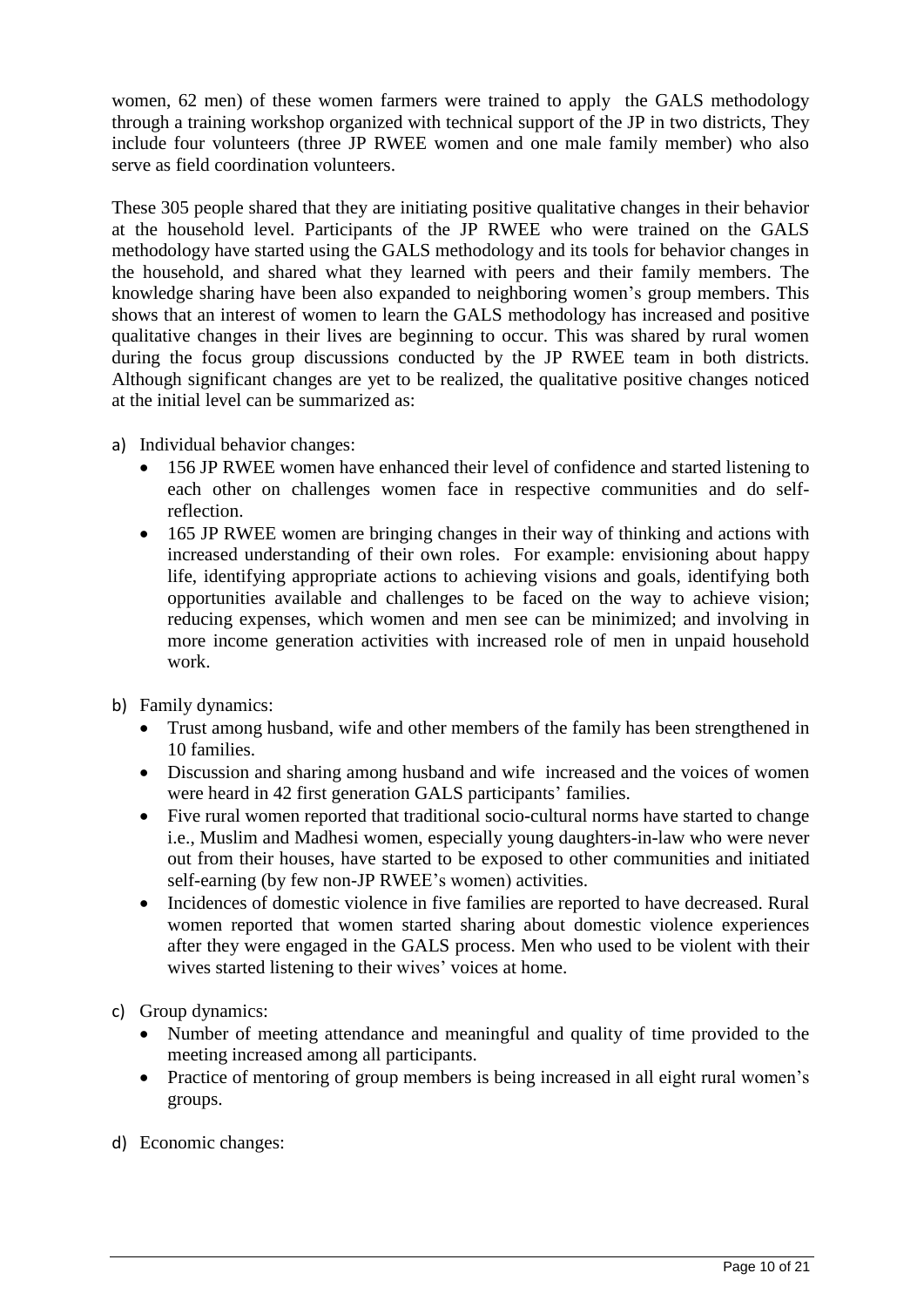women, 62 men) of these women farmers were trained to apply the GALS methodology through a training workshop organized with technical support of the JP in two districts, They include four volunteers (three JP RWEE women and one male family member) who also serve as field coordination volunteers.

These 305 people shared that they are initiating positive qualitative changes in their behavior at the household level. Participants of the JP RWEE who were trained on the GALS methodology have started using the GALS methodology and its tools for behavior changes in the household, and shared what they learned with peers and their family members. The knowledge sharing have been also expanded to neighboring women's group members. This shows that an interest of women to learn the GALS methodology has increased and positive qualitative changes in their lives are beginning to occur. This was shared by rural women during the focus group discussions conducted by the JP RWEE team in both districts. Although significant changes are yet to be realized, the qualitative positive changes noticed at the initial level can be summarized as:

- a) Individual behavior changes:
	- 156 JP RWEE women have enhanced their level of confidence and started listening to each other on challenges women face in respective communities and do selfreflection.
	- 165 JP RWEE women are bringing changes in their way of thinking and actions with increased understanding of their own roles. For example: envisioning about happy life, identifying appropriate actions to achieving visions and goals, identifying both opportunities available and challenges to be faced on the way to achieve vision; reducing expenses, which women and men see can be minimized; and involving in more income generation activities with increased role of men in unpaid household work.
- b) Family dynamics:
	- Trust among husband, wife and other members of the family has been strengthened in 10 families.
	- Discussion and sharing among husband and wife increased and the voices of women were heard in 42 first generation GALS participants' families.
	- Five rural women reported that traditional socio-cultural norms have started to change i.e., Muslim and Madhesi women, especially young daughters-in-law who were never out from their houses, have started to be exposed to other communities and initiated self-earning (by few non-JP RWEE's women) activities.
	- Incidences of domestic violence in five families are reported to have decreased. Rural women reported that women started sharing about domestic violence experiences after they were engaged in the GALS process. Men who used to be violent with their wives started listening to their wives' voices at home.

c) Group dynamics:

- Number of meeting attendance and meaningful and quality of time provided to the meeting increased among all participants.
- Practice of mentoring of group members is being increased in all eight rural women's groups.
- d) Economic changes: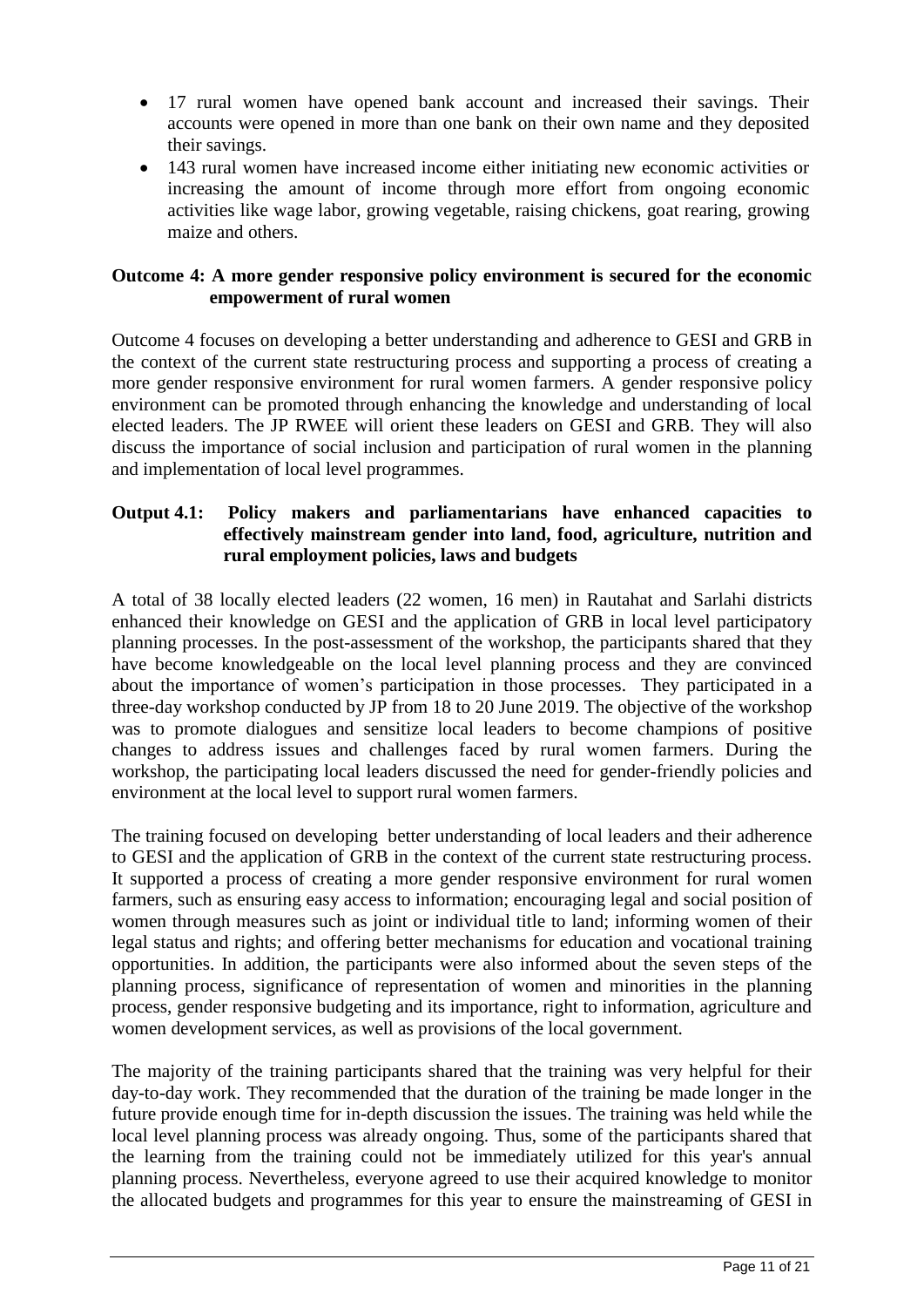- 17 rural women have opened bank account and increased their savings. Their accounts were opened in more than one bank on their own name and they deposited their savings.
- 143 rural women have increased income either initiating new economic activities or increasing the amount of income through more effort from ongoing economic activities like wage labor, growing vegetable, raising chickens, goat rearing, growing maize and others.

### **Outcome 4: A more gender responsive policy environment is secured for the economic empowerment of rural women**

Outcome 4 focuses on developing a better understanding and adherence to GESI and GRB in the context of the current state restructuring process and supporting a process of creating a more gender responsive environment for rural women farmers. A gender responsive policy environment can be promoted through enhancing the knowledge and understanding of local elected leaders. The JP RWEE will orient these leaders on GESI and GRB. They will also discuss the importance of social inclusion and participation of rural women in the planning and implementation of local level programmes.

### **Output 4.1: Policy makers and parliamentarians have enhanced capacities to effectively mainstream gender into land, food, agriculture, nutrition and rural employment policies, laws and budgets**

A total of 38 locally elected leaders (22 women, 16 men) in Rautahat and Sarlahi districts enhanced their knowledge on GESI and the application of GRB in local level participatory planning processes. In the post-assessment of the workshop, the participants shared that they have become knowledgeable on the local level planning process and they are convinced about the importance of women's participation in those processes. They participated in a three-day workshop conducted by JP from 18 to 20 June 2019. The objective of the workshop was to promote dialogues and sensitize local leaders to become champions of positive changes to address issues and challenges faced by rural women farmers. During the workshop, the participating local leaders discussed the need for gender-friendly policies and environment at the local level to support rural women farmers.

The training focused on developing better understanding of local leaders and their adherence to GESI and the application of GRB in the context of the current state restructuring process. It supported a process of creating a more gender responsive environment for rural women farmers, such as ensuring easy access to information; encouraging legal and social position of women through measures such as joint or individual title to land; informing women of their legal status and rights; and offering better mechanisms for education and vocational training opportunities. In addition, the participants were also informed about the seven steps of the planning process, significance of representation of women and minorities in the planning process, gender responsive budgeting and its importance, right to information, agriculture and women development services, as well as provisions of the local government.

The majority of the training participants shared that the training was very helpful for their day-to-day work. They recommended that the duration of the training be made longer in the future provide enough time for in-depth discussion the issues. The training was held while the local level planning process was already ongoing. Thus, some of the participants shared that the learning from the training could not be immediately utilized for this year's annual planning process. Nevertheless, everyone agreed to use their acquired knowledge to monitor the allocated budgets and programmes for this year to ensure the mainstreaming of GESI in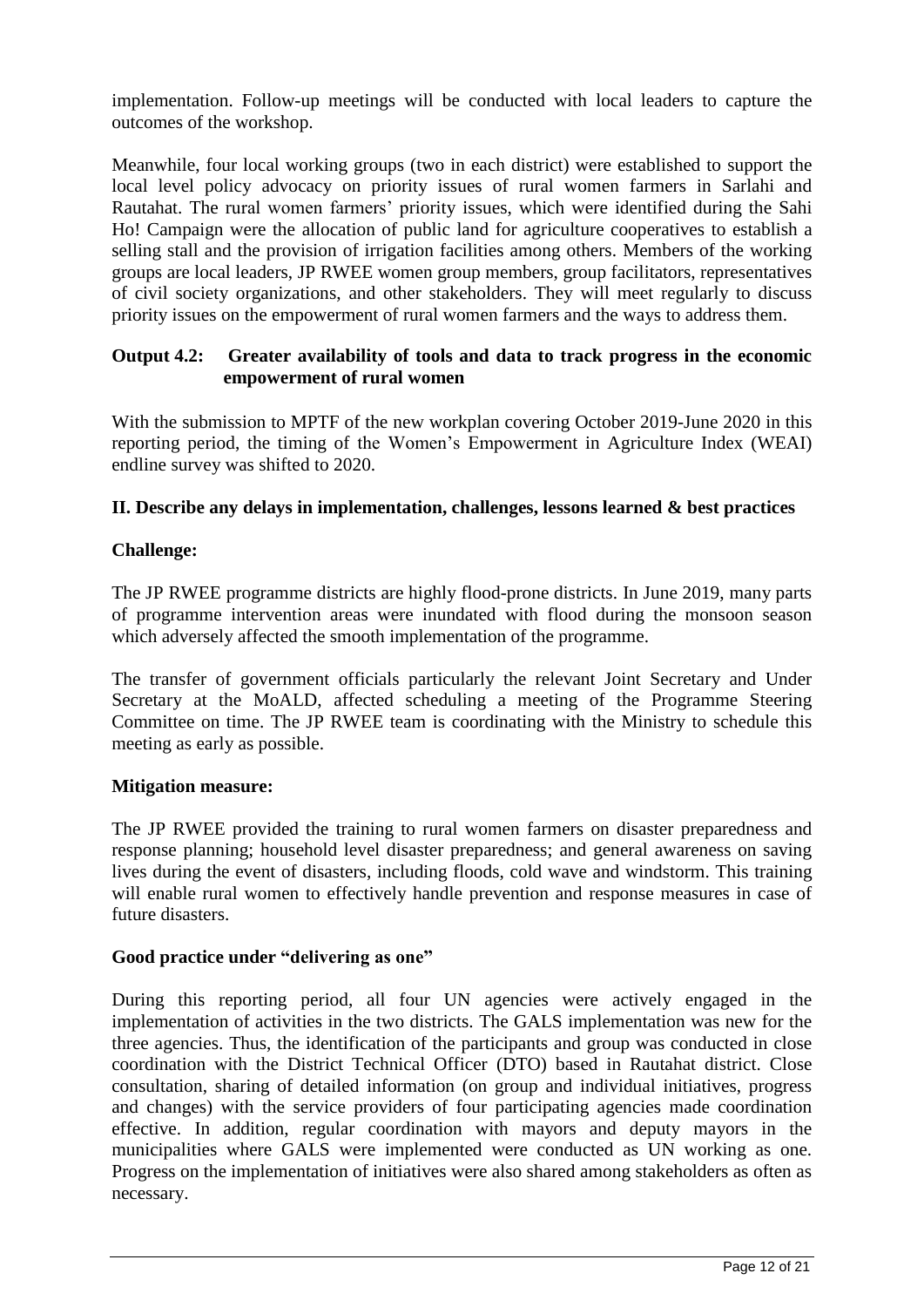implementation. Follow-up meetings will be conducted with local leaders to capture the outcomes of the workshop.

Meanwhile, four local working groups (two in each district) were established to support the local level policy advocacy on priority issues of rural women farmers in Sarlahi and Rautahat. The rural women farmers' priority issues, which were identified during the Sahi Ho! Campaign were the allocation of public land for agriculture cooperatives to establish a selling stall and the provision of irrigation facilities among others. Members of the working groups are local leaders, JP RWEE women group members, group facilitators, representatives of civil society organizations, and other stakeholders. They will meet regularly to discuss priority issues on the empowerment of rural women farmers and the ways to address them.

### **Output 4.2: Greater availability of tools and data to track progress in the economic empowerment of rural women**

With the submission to MPTF of the new workplan covering October 2019-June 2020 in this reporting period, the timing of the Women's Empowerment in Agriculture Index (WEAI) endline survey was shifted to 2020.

## **II. Describe any delays in implementation, challenges, lessons learned & best practices**

## **Challenge:**

The JP RWEE programme districts are highly flood-prone districts. In June 2019, many parts of programme intervention areas were inundated with flood during the monsoon season which adversely affected the smooth implementation of the programme.

The transfer of government officials particularly the relevant Joint Secretary and Under Secretary at the MoALD, affected scheduling a meeting of the Programme Steering Committee on time. The JP RWEE team is coordinating with the Ministry to schedule this meeting as early as possible.

### **Mitigation measure:**

The JP RWEE provided the training to rural women farmers on disaster preparedness and response planning; household level disaster preparedness; and general awareness on saving lives during the event of disasters, including floods, cold wave and windstorm. This training will enable rural women to effectively handle prevention and response measures in case of future disasters.

### **Good practice under "delivering as one"**

During this reporting period, all four UN agencies were actively engaged in the implementation of activities in the two districts. The GALS implementation was new for the three agencies. Thus, the identification of the participants and group was conducted in close coordination with the District Technical Officer (DTO) based in Rautahat district. Close consultation, sharing of detailed information (on group and individual initiatives, progress and changes) with the service providers of four participating agencies made coordination effective. In addition, regular coordination with mayors and deputy mayors in the municipalities where GALS were implemented were conducted as UN working as one. Progress on the implementation of initiatives were also shared among stakeholders as often as necessary.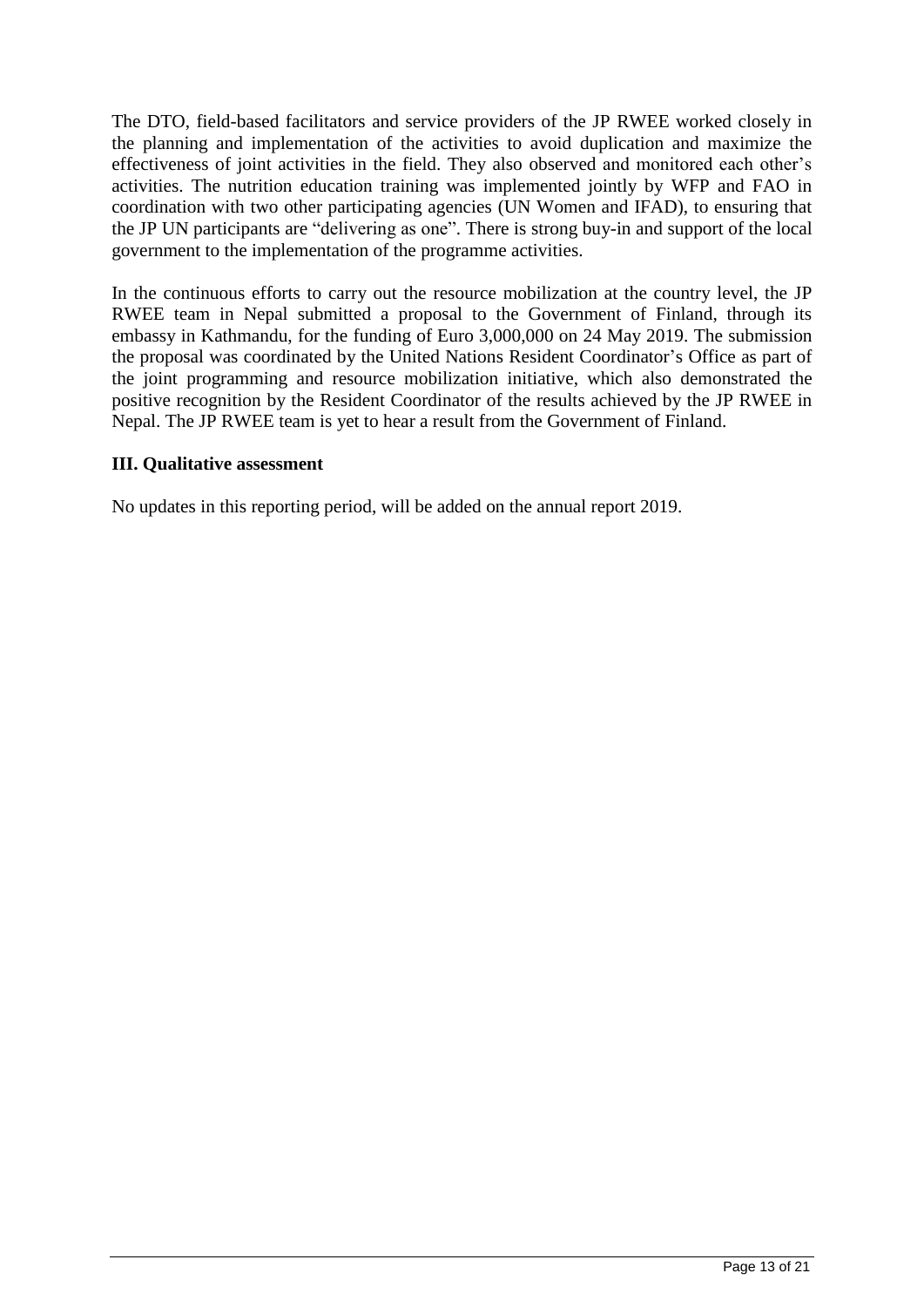The DTO, field-based facilitators and service providers of the JP RWEE worked closely in the planning and implementation of the activities to avoid duplication and maximize the effectiveness of joint activities in the field. They also observed and monitored each other's activities. The nutrition education training was implemented jointly by WFP and FAO in coordination with two other participating agencies (UN Women and IFAD), to ensuring that the JP UN participants are "delivering as one". There is strong buy-in and support of the local government to the implementation of the programme activities.

In the continuous efforts to carry out the resource mobilization at the country level, the JP RWEE team in Nepal submitted a proposal to the Government of Finland, through its embassy in Kathmandu, for the funding of Euro 3,000,000 on 24 May 2019. The submission the proposal was coordinated by the United Nations Resident Coordinator's Office as part of the joint programming and resource mobilization initiative, which also demonstrated the positive recognition by the Resident Coordinator of the results achieved by the JP RWEE in Nepal. The JP RWEE team is yet to hear a result from the Government of Finland.

#### **III. Qualitative assessment**

No updates in this reporting period, will be added on the annual report 2019.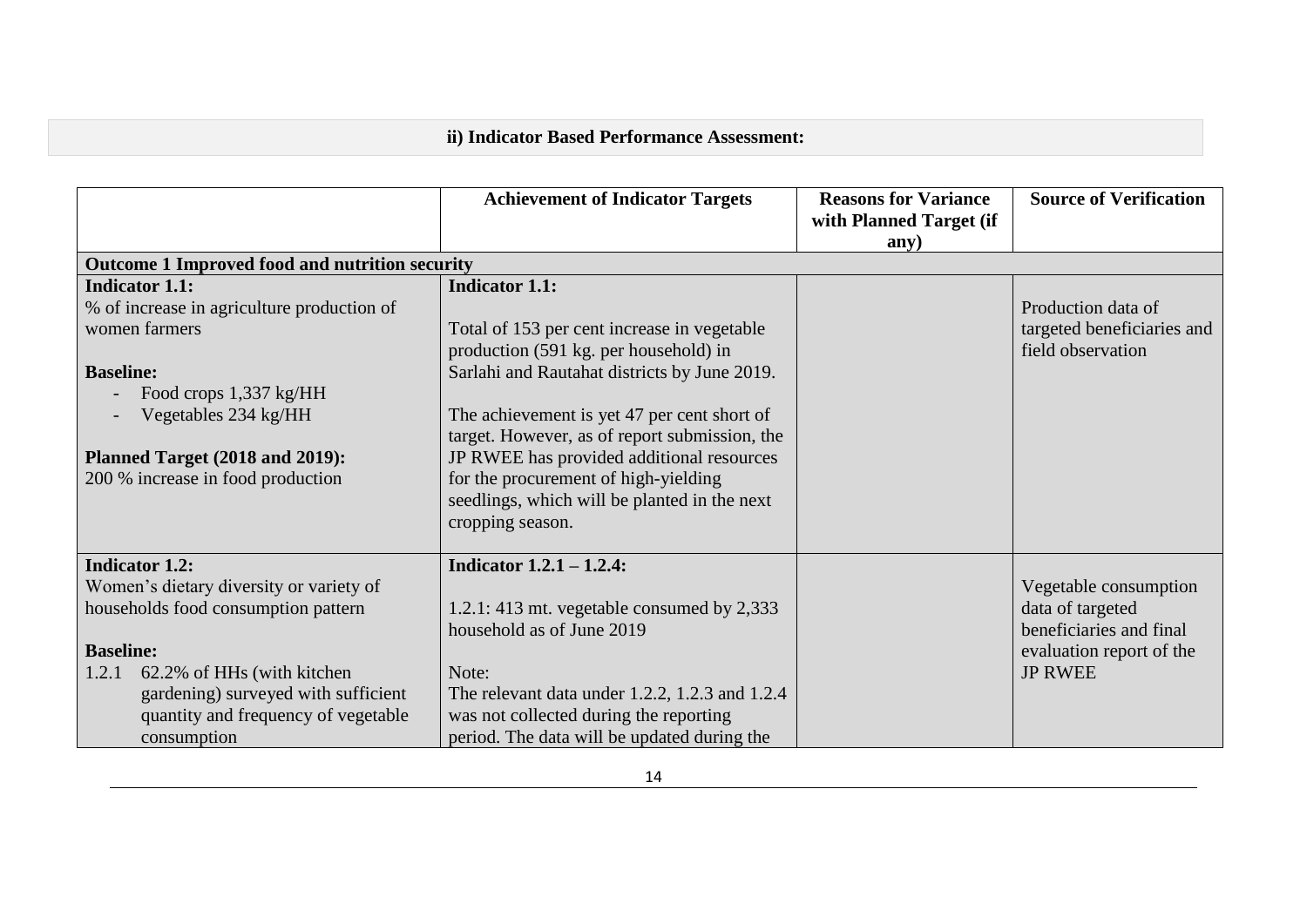# **ii) Indicator Based Performance Assessment:**

|                                                | <b>Achievement of Indicator Targets</b>        | <b>Reasons for Variance</b> | <b>Source of Verification</b> |
|------------------------------------------------|------------------------------------------------|-----------------------------|-------------------------------|
|                                                |                                                | with Planned Target (if     |                               |
|                                                |                                                | any)                        |                               |
| Outcome 1 Improved food and nutrition security |                                                |                             |                               |
| <b>Indicator 1.1:</b>                          | <b>Indicator 1.1:</b>                          |                             |                               |
| % of increase in agriculture production of     |                                                |                             | Production data of            |
| women farmers                                  | Total of 153 per cent increase in vegetable    |                             | targeted beneficiaries and    |
|                                                | production (591 kg. per household) in          |                             | field observation             |
| <b>Baseline:</b>                               | Sarlahi and Rautahat districts by June 2019.   |                             |                               |
| Food crops 1,337 kg/HH                         |                                                |                             |                               |
| Vegetables 234 kg/HH                           | The achievement is yet 47 per cent short of    |                             |                               |
|                                                | target. However, as of report submission, the  |                             |                               |
| Planned Target (2018 and 2019):                | JP RWEE has provided additional resources      |                             |                               |
| 200 % increase in food production              | for the procurement of high-yielding           |                             |                               |
|                                                | seedlings, which will be planted in the next   |                             |                               |
|                                                | cropping season.                               |                             |                               |
|                                                |                                                |                             |                               |
| <b>Indicator 1.2:</b>                          | Indicator $1.2.1 - 1.2.4$ :                    |                             |                               |
| Women's dietary diversity or variety of        |                                                |                             | Vegetable consumption         |
| households food consumption pattern            | 1.2.1: 413 mt. vegetable consumed by $2,333$   |                             | data of targeted              |
|                                                | household as of June 2019                      |                             | beneficiaries and final       |
| <b>Baseline:</b>                               |                                                |                             | evaluation report of the      |
| 1.2.1<br>62.2% of HHs (with kitchen            | Note:                                          |                             | <b>JP RWEE</b>                |
| gardening) surveyed with sufficient            | The relevant data under 1.2.2, 1.2.3 and 1.2.4 |                             |                               |
| quantity and frequency of vegetable            | was not collected during the reporting         |                             |                               |
| consumption                                    | period. The data will be updated during the    |                             |                               |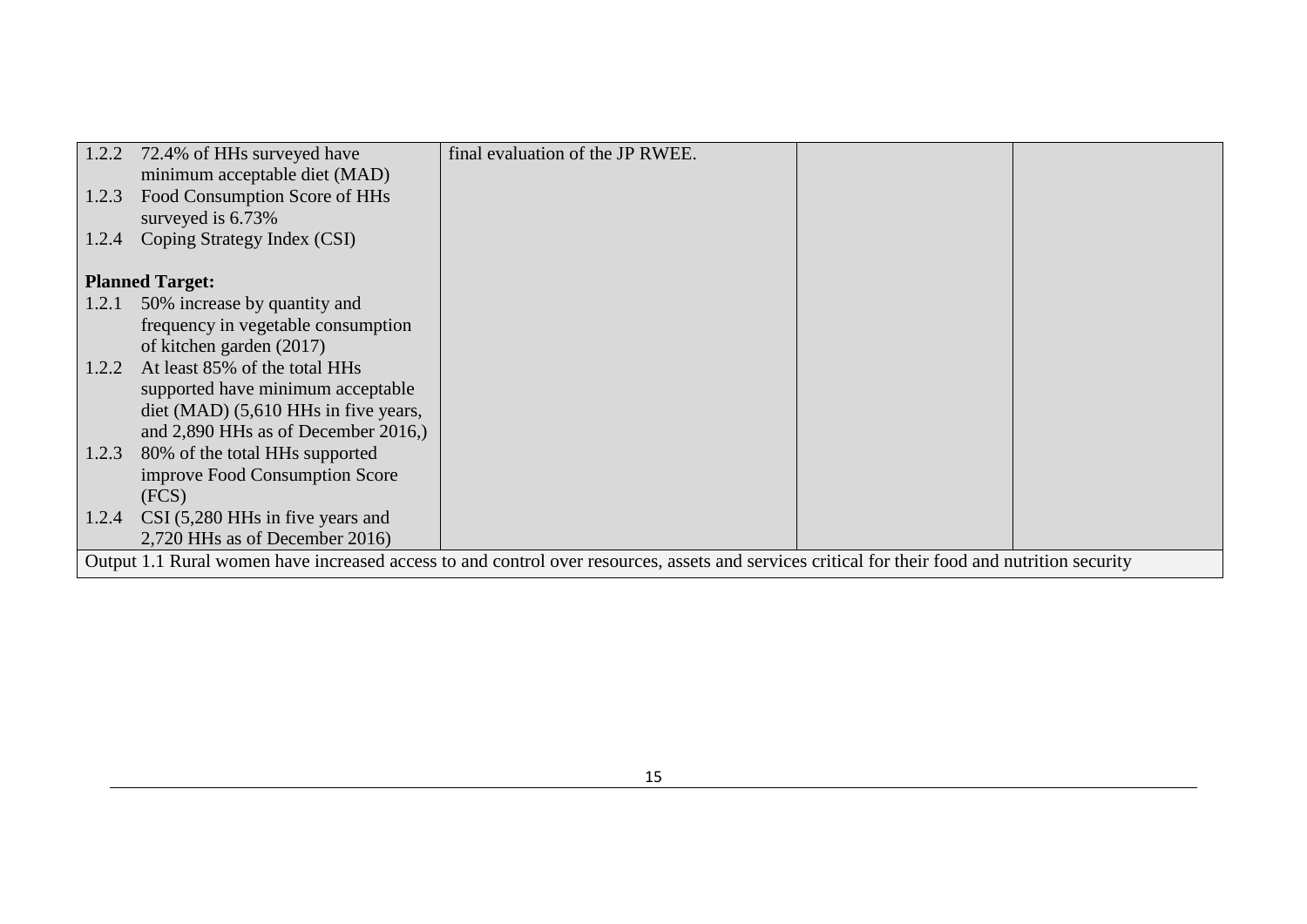|       | 1.2.2 72.4% of HHs surveyed have      | final evaluation of the JP RWEE.                                                                                                               |  |
|-------|---------------------------------------|------------------------------------------------------------------------------------------------------------------------------------------------|--|
|       | minimum acceptable diet (MAD)         |                                                                                                                                                |  |
| 1.2.3 | Food Consumption Score of HHs         |                                                                                                                                                |  |
|       | surveyed is 6.73%                     |                                                                                                                                                |  |
| 1.2.4 | Coping Strategy Index (CSI)           |                                                                                                                                                |  |
|       |                                       |                                                                                                                                                |  |
|       | <b>Planned Target:</b>                |                                                                                                                                                |  |
| 1.2.1 | 50% increase by quantity and          |                                                                                                                                                |  |
|       | frequency in vegetable consumption    |                                                                                                                                                |  |
|       | of kitchen garden (2017)              |                                                                                                                                                |  |
| 1.2.2 | At least 85% of the total HHs         |                                                                                                                                                |  |
|       | supported have minimum acceptable     |                                                                                                                                                |  |
|       | diet (MAD) (5,610 HHs in five years,  |                                                                                                                                                |  |
|       | and $2,890$ HHs as of December 2016,) |                                                                                                                                                |  |
| 1.2.3 | 80% of the total HHs supported        |                                                                                                                                                |  |
|       | improve Food Consumption Score        |                                                                                                                                                |  |
|       | (FCS)                                 |                                                                                                                                                |  |
| 1.2.4 | $CSI$ (5,280 HHs in five years and    |                                                                                                                                                |  |
|       | 2,720 HHs as of December 2016)        |                                                                                                                                                |  |
|       |                                       | Output 1.1 Rural women have increased access to and control over resources, assets and services critical for their food and nutrition security |  |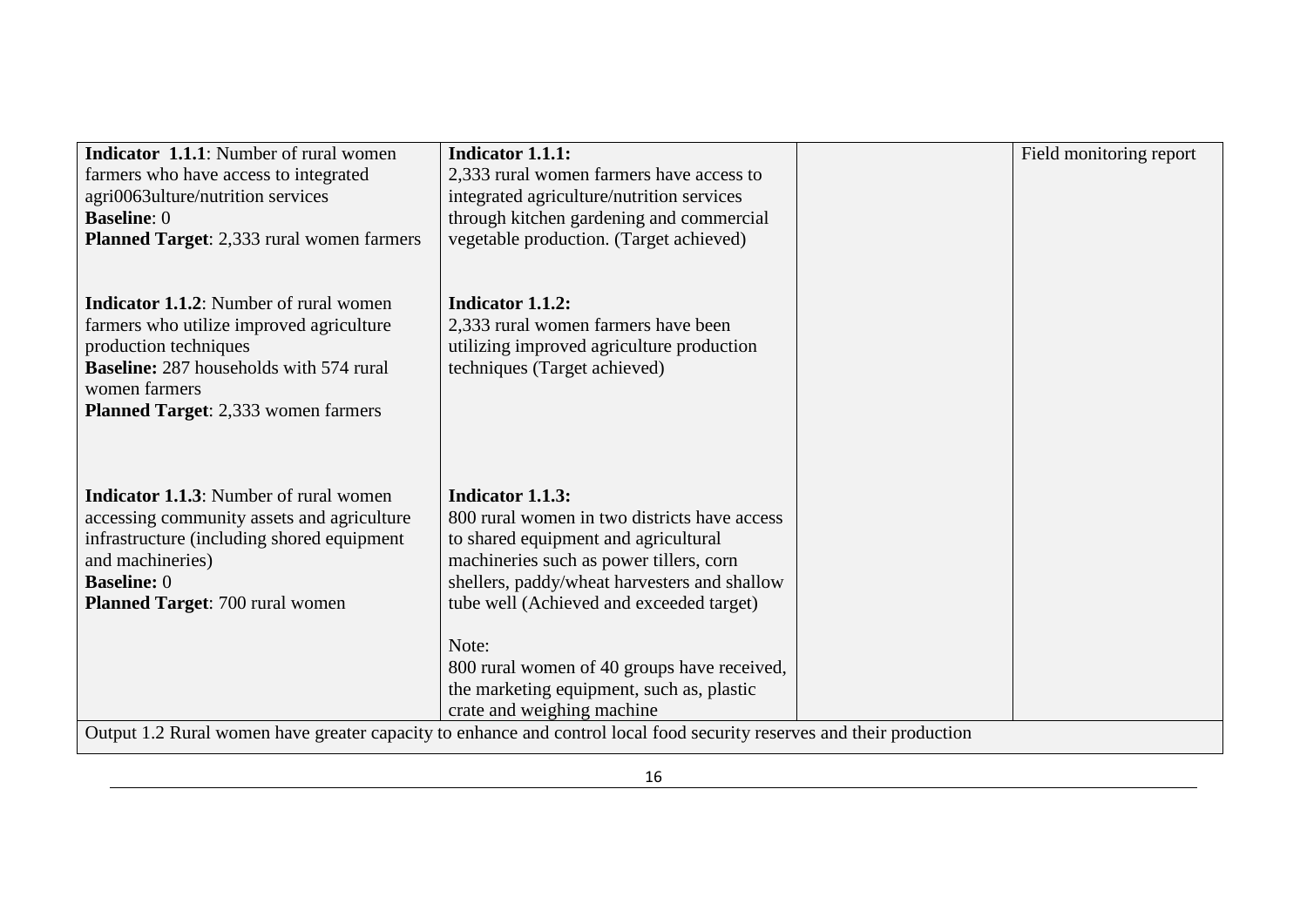| <b>Indicator 1.1.1:</b> Number of rural women    | <b>Indicator 1.1.1:</b>                                                                                               | Field monitoring report |
|--------------------------------------------------|-----------------------------------------------------------------------------------------------------------------------|-------------------------|
| farmers who have access to integrated            | 2,333 rural women farmers have access to                                                                              |                         |
| agri0063ulture/nutrition services                | integrated agriculture/nutrition services                                                                             |                         |
| <b>Baseline: 0</b>                               | through kitchen gardening and commercial                                                                              |                         |
| <b>Planned Target:</b> 2,333 rural women farmers | vegetable production. (Target achieved)                                                                               |                         |
|                                                  |                                                                                                                       |                         |
|                                                  |                                                                                                                       |                         |
| <b>Indicator 1.1.2:</b> Number of rural women    | <b>Indicator 1.1.2:</b>                                                                                               |                         |
| farmers who utilize improved agriculture         | 2,333 rural women farmers have been                                                                                   |                         |
| production techniques                            | utilizing improved agriculture production                                                                             |                         |
| <b>Baseline:</b> 287 households with 574 rural   | techniques (Target achieved)                                                                                          |                         |
| women farmers                                    |                                                                                                                       |                         |
| Planned Target: 2,333 women farmers              |                                                                                                                       |                         |
|                                                  |                                                                                                                       |                         |
|                                                  |                                                                                                                       |                         |
|                                                  |                                                                                                                       |                         |
|                                                  |                                                                                                                       |                         |
| <b>Indicator 1.1.3:</b> Number of rural women    | <b>Indicator 1.1.3:</b>                                                                                               |                         |
| accessing community assets and agriculture       | 800 rural women in two districts have access                                                                          |                         |
| infrastructure (including shored equipment       | to shared equipment and agricultural                                                                                  |                         |
| and machineries)                                 | machineries such as power tillers, corn                                                                               |                         |
| <b>Baseline: 0</b>                               | shellers, paddy/wheat harvesters and shallow                                                                          |                         |
| Planned Target: 700 rural women                  | tube well (Achieved and exceeded target)                                                                              |                         |
|                                                  |                                                                                                                       |                         |
|                                                  | Note:                                                                                                                 |                         |
|                                                  | 800 rural women of 40 groups have received,                                                                           |                         |
|                                                  | the marketing equipment, such as, plastic                                                                             |                         |
|                                                  | crate and weighing machine                                                                                            |                         |
|                                                  | Output 1.2 Rural women have greater capacity to enhance and control local food security reserves and their production |                         |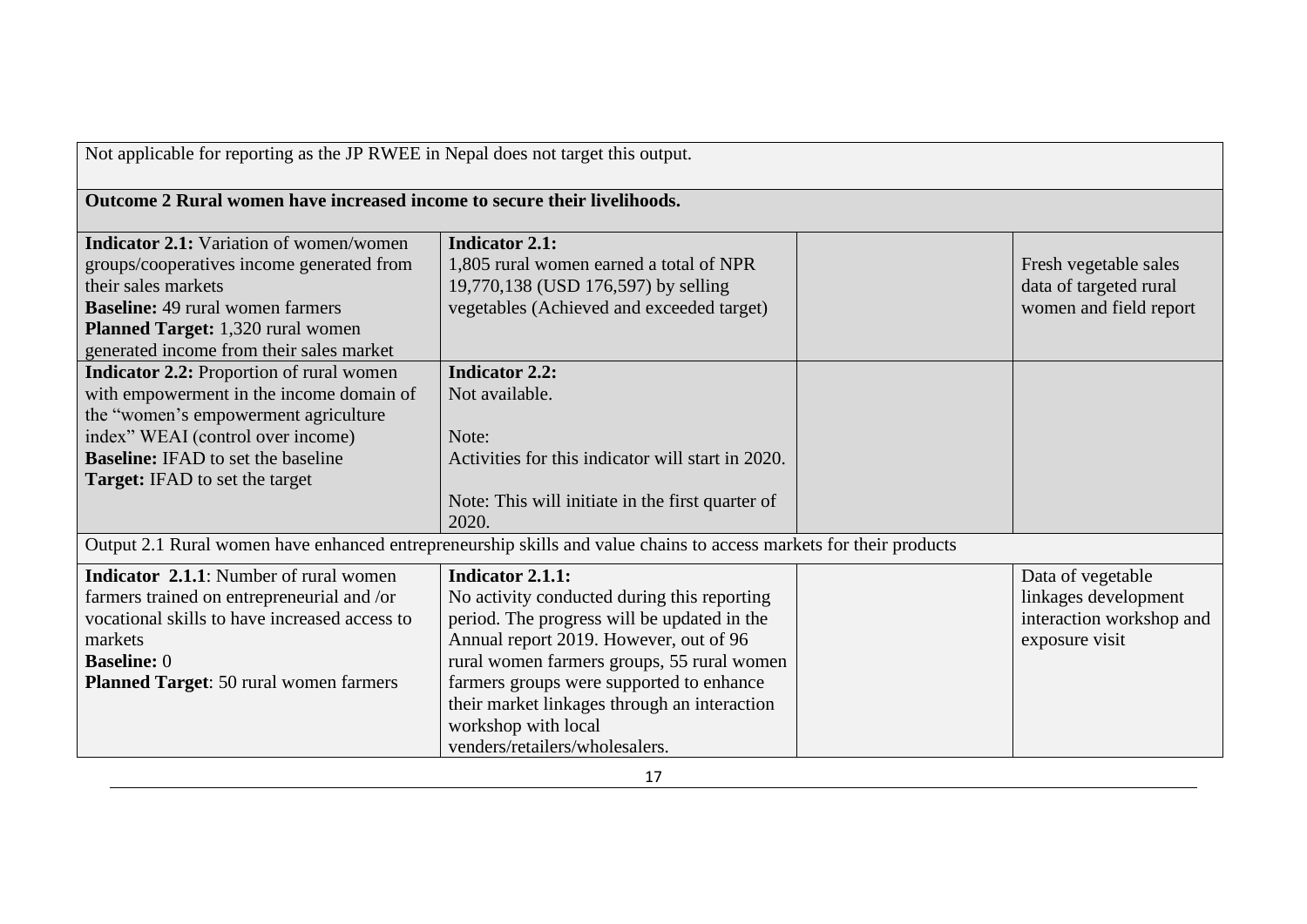| Not applicable for reporting as the JP RWEE in Nepal does not target this output.                                                                                                                                                                              |                                                                                                                                                                                                                                                                                                                                                                    |  |                                                                                         |
|----------------------------------------------------------------------------------------------------------------------------------------------------------------------------------------------------------------------------------------------------------------|--------------------------------------------------------------------------------------------------------------------------------------------------------------------------------------------------------------------------------------------------------------------------------------------------------------------------------------------------------------------|--|-----------------------------------------------------------------------------------------|
| Outcome 2 Rural women have increased income to secure their livelihoods.                                                                                                                                                                                       |                                                                                                                                                                                                                                                                                                                                                                    |  |                                                                                         |
| <b>Indicator 2.1:</b> Variation of women/women<br>groups/cooperatives income generated from<br>their sales markets<br><b>Baseline:</b> 49 rural women farmers<br><b>Planned Target:</b> 1,320 rural women<br>generated income from their sales market          | <b>Indicator 2.1:</b><br>1,805 rural women earned a total of NPR<br>19,770,138 (USD 176,597) by selling<br>vegetables (Achieved and exceeded target)                                                                                                                                                                                                               |  | Fresh vegetable sales<br>data of targeted rural<br>women and field report               |
| <b>Indicator 2.2:</b> Proportion of rural women<br>with empowerment in the income domain of<br>the "women's empowerment agriculture<br>index" WEAI (control over income)<br><b>Baseline:</b> IFAD to set the baseline<br><b>Target:</b> IFAD to set the target | <b>Indicator 2.2:</b><br>Not available.<br>Note:<br>Activities for this indicator will start in 2020.<br>Note: This will initiate in the first quarter of<br>2020.                                                                                                                                                                                                 |  |                                                                                         |
|                                                                                                                                                                                                                                                                | Output 2.1 Rural women have enhanced entrepreneurship skills and value chains to access markets for their products                                                                                                                                                                                                                                                 |  |                                                                                         |
| <b>Indicator 2.1.1:</b> Number of rural women<br>farmers trained on entrepreneurial and /or<br>vocational skills to have increased access to<br>markets<br><b>Baseline: 0</b><br><b>Planned Target:</b> 50 rural women farmers                                 | <b>Indicator 2.1.1:</b><br>No activity conducted during this reporting<br>period. The progress will be updated in the<br>Annual report 2019. However, out of 96<br>rural women farmers groups, 55 rural women<br>farmers groups were supported to enhance<br>their market linkages through an interaction<br>workshop with local<br>venders/retailers/wholesalers. |  | Data of vegetable<br>linkages development<br>interaction workshop and<br>exposure visit |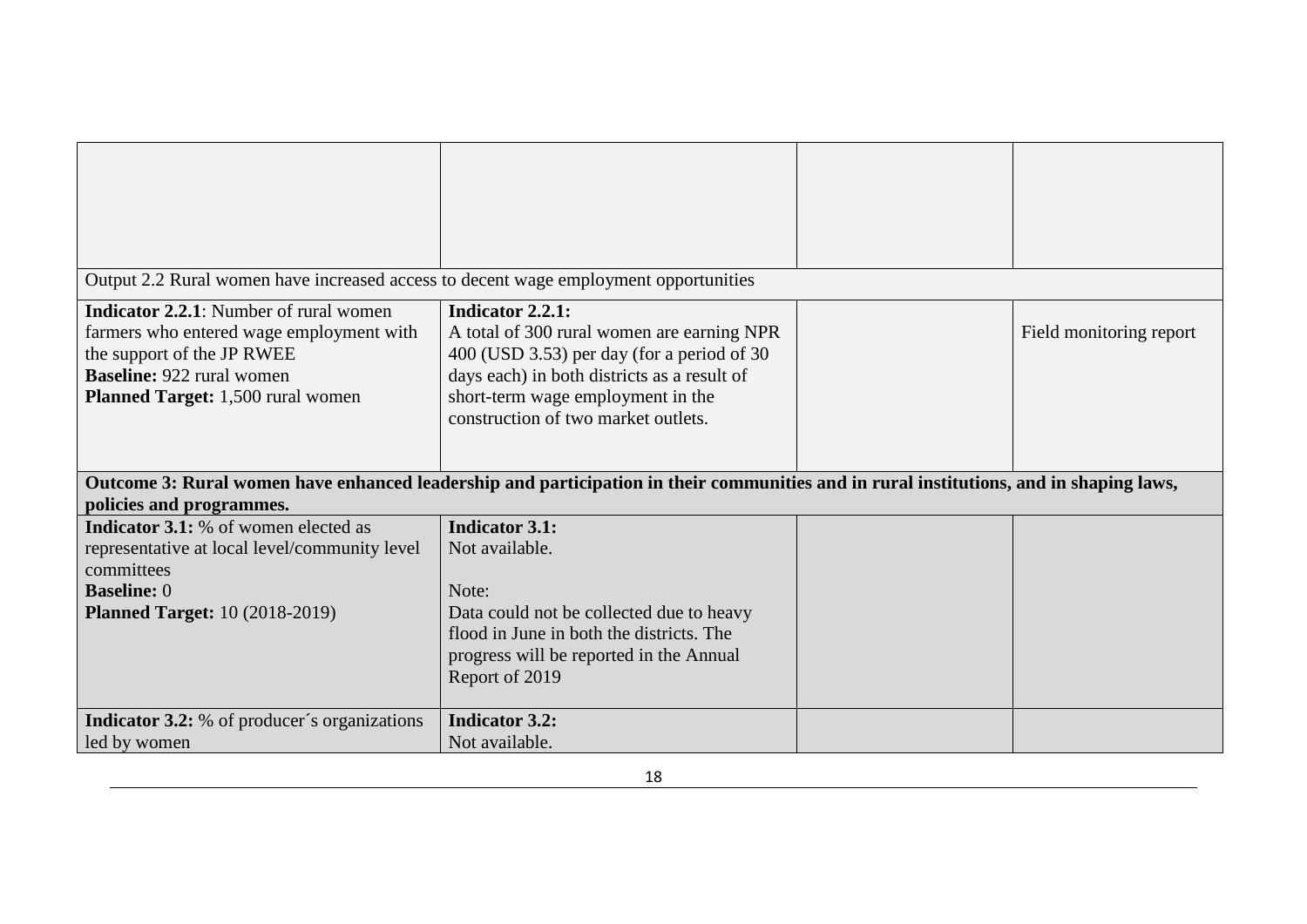| Output 2.2 Rural women have increased access to decent wage employment opportunities                                                                                                             |                                                                                                                                                                                                                                         |                         |
|--------------------------------------------------------------------------------------------------------------------------------------------------------------------------------------------------|-----------------------------------------------------------------------------------------------------------------------------------------------------------------------------------------------------------------------------------------|-------------------------|
| <b>Indicator 2.2.1:</b> Number of rural women<br>farmers who entered wage employment with<br>the support of the JP RWEE<br><b>Baseline: 922 rural women</b><br>Planned Target: 1,500 rural women | Indicator 2.2.1:<br>A total of 300 rural women are earning NPR<br>400 (USD 3.53) per day (for a period of 30<br>days each) in both districts as a result of<br>short-term wage employment in the<br>construction of two market outlets. | Field monitoring report |
| policies and programmes.                                                                                                                                                                         | Outcome 3: Rural women have enhanced leadership and participation in their communities and in rural institutions, and in shaping laws,                                                                                                  |                         |
| <b>Indicator 3.1:</b> % of women elected as<br>representative at local level/community level<br>committees<br><b>Baseline: 0</b><br><b>Planned Target: 10 (2018-2019)</b>                        | <b>Indicator 3.1:</b><br>Not available.<br>Note:<br>Data could not be collected due to heavy<br>flood in June in both the districts. The<br>progress will be reported in the Annual<br>Report of 2019                                   |                         |
| <b>Indicator 3.2:</b> % of producer's organizations<br>led by women                                                                                                                              | <b>Indicator 3.2:</b><br>Not available.                                                                                                                                                                                                 |                         |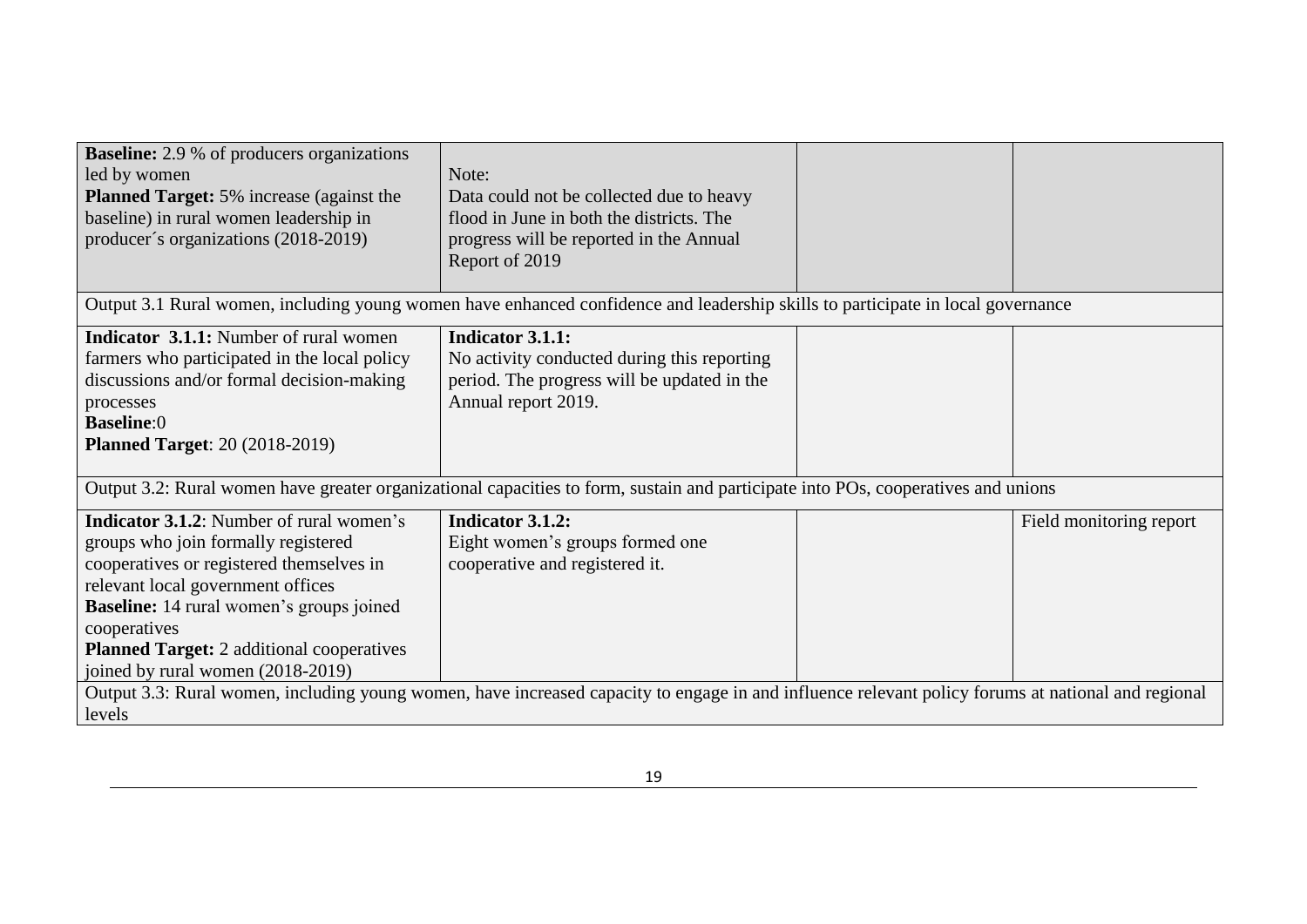| <b>Baseline:</b> 2.9 % of producers organizations<br>led by women<br><b>Planned Target:</b> 5% increase (against the<br>baseline) in rural women leadership in<br>producer's organizations (2018-2019)                                                                                                                              | Note:<br>Data could not be collected due to heavy<br>flood in June in both the districts. The<br>progress will be reported in the Annual<br>Report of 2019 |  |                         |
|-------------------------------------------------------------------------------------------------------------------------------------------------------------------------------------------------------------------------------------------------------------------------------------------------------------------------------------|------------------------------------------------------------------------------------------------------------------------------------------------------------|--|-------------------------|
|                                                                                                                                                                                                                                                                                                                                     | Output 3.1 Rural women, including young women have enhanced confidence and leadership skills to participate in local governance                            |  |                         |
| <b>Indicator 3.1.1:</b> Number of rural women<br>farmers who participated in the local policy<br>discussions and/or formal decision-making<br>processes<br><b>Baseline:0</b><br><b>Planned Target: 20 (2018-2019)</b>                                                                                                               | <b>Indicator 3.1.1:</b><br>No activity conducted during this reporting<br>period. The progress will be updated in the<br>Annual report 2019.               |  |                         |
|                                                                                                                                                                                                                                                                                                                                     | Output 3.2: Rural women have greater organizational capacities to form, sustain and participate into POs, cooperatives and unions                          |  |                         |
| <b>Indicator 3.1.2:</b> Number of rural women's<br>groups who join formally registered<br>cooperatives or registered themselves in<br>relevant local government offices<br><b>Baseline:</b> 14 rural women's groups joined<br>cooperatives<br><b>Planned Target:</b> 2 additional cooperatives<br>joined by rural women (2018-2019) | Indicator 3.1.2:<br>Eight women's groups formed one<br>cooperative and registered it.                                                                      |  | Field monitoring report |
| Output 3.3: Rural women, including young women, have increased capacity to engage in and influence relevant policy forums at national and regional<br>levels                                                                                                                                                                        |                                                                                                                                                            |  |                         |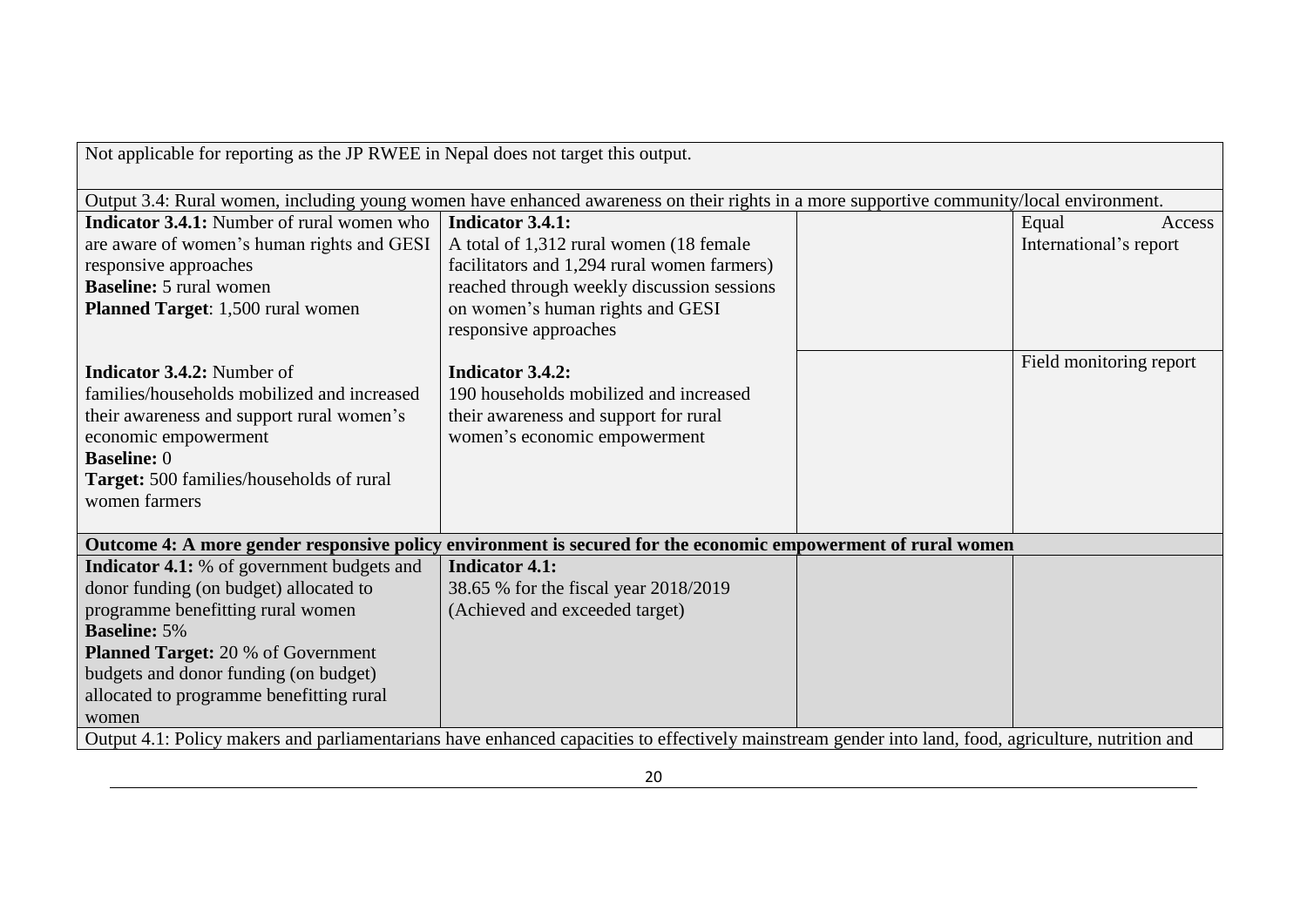| Not applicable for reporting as the JP RWEE in Nepal does not target this output.                                                                    |                                                                                                                                          |  |                         |  |
|------------------------------------------------------------------------------------------------------------------------------------------------------|------------------------------------------------------------------------------------------------------------------------------------------|--|-------------------------|--|
|                                                                                                                                                      | Output 3.4: Rural women, including young women have enhanced awareness on their rights in a more supportive community/local environment. |  |                         |  |
| <b>Indicator 3.4.1:</b> Number of rural women who                                                                                                    | <b>Indicator 3.4.1:</b>                                                                                                                  |  | Equal<br>Access         |  |
| are aware of women's human rights and GESI                                                                                                           | A total of 1,312 rural women (18 female                                                                                                  |  | International's report  |  |
| responsive approaches                                                                                                                                | facilitators and 1,294 rural women farmers)                                                                                              |  |                         |  |
| <b>Baseline:</b> 5 rural women                                                                                                                       | reached through weekly discussion sessions                                                                                               |  |                         |  |
| Planned Target: 1,500 rural women                                                                                                                    | on women's human rights and GESI                                                                                                         |  |                         |  |
|                                                                                                                                                      | responsive approaches                                                                                                                    |  |                         |  |
|                                                                                                                                                      |                                                                                                                                          |  | Field monitoring report |  |
| <b>Indicator 3.4.2:</b> Number of                                                                                                                    | <b>Indicator 3.4.2:</b>                                                                                                                  |  |                         |  |
| families/households mobilized and increased                                                                                                          | 190 households mobilized and increased                                                                                                   |  |                         |  |
| their awareness and support rural women's                                                                                                            | their awareness and support for rural                                                                                                    |  |                         |  |
| economic empowerment                                                                                                                                 | women's economic empowerment                                                                                                             |  |                         |  |
| <b>Baseline: 0</b>                                                                                                                                   |                                                                                                                                          |  |                         |  |
| Target: 500 families/households of rural                                                                                                             |                                                                                                                                          |  |                         |  |
| women farmers                                                                                                                                        |                                                                                                                                          |  |                         |  |
|                                                                                                                                                      | Outcome 4: A more gender responsive policy environment is secured for the economic empowerment of rural women                            |  |                         |  |
| <b>Indicator 4.1:</b> % of government budgets and                                                                                                    | <b>Indicator 4.1:</b>                                                                                                                    |  |                         |  |
| donor funding (on budget) allocated to                                                                                                               | 38.65 % for the fiscal year 2018/2019                                                                                                    |  |                         |  |
| programme benefitting rural women                                                                                                                    | (Achieved and exceeded target)                                                                                                           |  |                         |  |
| <b>Baseline: 5%</b>                                                                                                                                  |                                                                                                                                          |  |                         |  |
| <b>Planned Target:</b> 20 % of Government                                                                                                            |                                                                                                                                          |  |                         |  |
| budgets and donor funding (on budget)                                                                                                                |                                                                                                                                          |  |                         |  |
| allocated to programme benefitting rural                                                                                                             |                                                                                                                                          |  |                         |  |
| women                                                                                                                                                |                                                                                                                                          |  |                         |  |
| Output 4.1: Policy makers and parliamentarians have enhanced capacities to effectively mainstream gender into land, food, agriculture, nutrition and |                                                                                                                                          |  |                         |  |